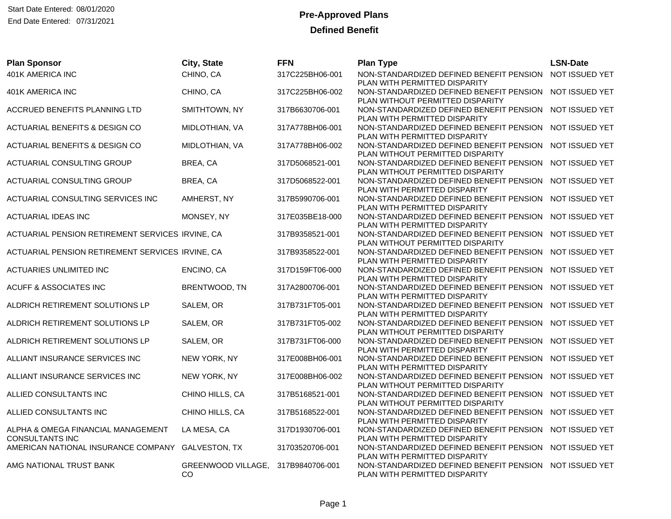| <b>Plan Sponsor</b>                                          | City, State                     | <b>FFN</b>      | <b>Plan Type</b>                                                                            | <b>LSN-Date</b> |
|--------------------------------------------------------------|---------------------------------|-----------------|---------------------------------------------------------------------------------------------|-----------------|
| 401K AMERICA INC                                             | CHINO, CA                       | 317C225BH06-001 | NON-STANDARDIZED DEFINED BENEFIT PENSION                                                    | NOT ISSUED YET  |
| 401K AMERICA INC                                             | CHINO, CA                       | 317C225BH06-002 | PLAN WITH PERMITTED DISPARITY<br>NON-STANDARDIZED DEFINED BENEFIT PENSION                   | NOT ISSUED YET  |
|                                                              |                                 |                 | PLAN WITHOUT PERMITTED DISPARITY                                                            |                 |
| ACCRUED BENEFITS PLANNING LTD                                | SMITHTOWN, NY                   | 317B6630706-001 | NON-STANDARDIZED DEFINED BENEFIT PENSION NOT ISSUED YET                                     |                 |
| ACTUARIAL BENEFITS & DESIGN CO                               | MIDLOTHIAN, VA                  | 317A778BH06-001 | PLAN WITH PERMITTED DISPARITY<br>NON-STANDARDIZED DEFINED BENEFIT PENSION                   | NOT ISSUED YET  |
|                                                              |                                 |                 | PLAN WITH PERMITTED DISPARITY                                                               |                 |
| ACTUARIAL BENEFITS & DESIGN CO                               | MIDLOTHIAN, VA                  | 317A778BH06-002 | NON-STANDARDIZED DEFINED BENEFIT PENSION<br>PLAN WITHOUT PERMITTED DISPARITY                | NOT ISSUED YET  |
| ACTUARIAL CONSULTING GROUP                                   | BREA, CA                        | 317D5068521-001 | NON-STANDARDIZED DEFINED BENEFIT PENSION                                                    | NOT ISSUED YET  |
|                                                              |                                 |                 | PLAN WITHOUT PERMITTED DISPARITY                                                            |                 |
| ACTUARIAL CONSULTING GROUP                                   | BREA, CA                        | 317D5068522-001 | NON-STANDARDIZED DEFINED BENEFIT PENSION<br>PLAN WITH PERMITTED DISPARITY                   | NOT ISSUED YET  |
| ACTUARIAL CONSULTING SERVICES INC                            | AMHERST, NY                     | 317B5990706-001 | NON-STANDARDIZED DEFINED BENEFIT PENSION                                                    | NOT ISSUED YET  |
|                                                              |                                 |                 | PLAN WITH PERMITTED DISPARITY                                                               |                 |
| ACTUARIAL IDEAS INC                                          | MONSEY, NY                      | 317E035BE18-000 | NON-STANDARDIZED DEFINED BENEFIT PENSION<br>PLAN WITH PERMITTED DISPARITY                   | NOT ISSUED YET  |
| ACTUARIAL PENSION RETIREMENT SERVICES IRVINE, CA             |                                 | 317B9358521-001 | NON-STANDARDIZED DEFINED BENEFIT PENSION                                                    | NOT ISSUED YET  |
|                                                              |                                 |                 | PLAN WITHOUT PERMITTED DISPARITY                                                            |                 |
| ACTUARIAL PENSION RETIREMENT SERVICES IRVINE, CA             |                                 | 317B9358522-001 | NON-STANDARDIZED DEFINED BENEFIT PENSION<br>PLAN WITH PERMITTED DISPARITY                   | NOT ISSUED YET  |
| ACTUARIES UNLIMITED INC                                      | ENCINO, CA                      | 317D159FT06-000 | NON-STANDARDIZED DEFINED BENEFIT PENSION                                                    | NOT ISSUED YET  |
|                                                              |                                 |                 | PLAN WITH PERMITTED DISPARITY                                                               |                 |
| <b>ACUFF &amp; ASSOCIATES INC</b>                            | BRENTWOOD, TN                   | 317A2800706-001 | NON-STANDARDIZED DEFINED BENEFIT PENSION<br>PLAN WITH PERMITTED DISPARITY                   | NOT ISSUED YET  |
| ALDRICH RETIREMENT SOLUTIONS LP                              | SALEM, OR                       | 317B731FT05-001 | NON-STANDARDIZED DEFINED BENEFIT PENSION                                                    | NOT ISSUED YET  |
|                                                              |                                 |                 | PLAN WITH PERMITTED DISPARITY                                                               |                 |
| ALDRICH RETIREMENT SOLUTIONS LP                              | SALEM, OR                       | 317B731FT05-002 | NON-STANDARDIZED DEFINED BENEFIT PENSION<br>PLAN WITHOUT PERMITTED DISPARITY                | NOT ISSUED YET  |
| ALDRICH RETIREMENT SOLUTIONS LP                              | SALEM, OR                       | 317B731FT06-000 | NON-STANDARDIZED DEFINED BENEFIT PENSION                                                    | NOT ISSUED YET  |
|                                                              |                                 |                 | PLAN WITH PERMITTED DISPARITY                                                               |                 |
| ALLIANT INSURANCE SERVICES INC                               | NEW YORK, NY                    | 317E008BH06-001 | NON-STANDARDIZED DEFINED BENEFIT PENSION<br>PLAN WITH PERMITTED DISPARITY                   | NOT ISSUED YET  |
| ALLIANT INSURANCE SERVICES INC                               | NEW YORK, NY                    | 317E008BH06-002 | NON-STANDARDIZED DEFINED BENEFIT PENSION                                                    | NOT ISSUED YET  |
|                                                              |                                 |                 | PLAN WITHOUT PERMITTED DISPARITY                                                            |                 |
| ALLIED CONSULTANTS INC                                       | CHINO HILLS, CA                 | 317B5168521-001 | NON-STANDARDIZED DEFINED BENEFIT PENSION NOT ISSUED YET<br>PLAN WITHOUT PERMITTED DISPARITY |                 |
| ALLIED CONSULTANTS INC                                       | CHINO HILLS, CA                 | 317B5168522-001 | NON-STANDARDIZED DEFINED BENEFIT PENSION                                                    | NOT ISSUED YET  |
|                                                              |                                 |                 | PLAN WITH PERMITTED DISPARITY                                                               |                 |
| ALPHA & OMEGA FINANCIAL MANAGEMENT<br><b>CONSULTANTS INC</b> | LA MESA, CA                     | 317D1930706-001 | NON-STANDARDIZED DEFINED BENEFIT PENSION<br>PLAN WITH PERMITTED DISPARITY                   | NOT ISSUED YET  |
| AMERICAN NATIONAL INSURANCE COMPANY GALVESTON, TX            |                                 | 31703520706-001 | NON-STANDARDIZED DEFINED BENEFIT PENSION                                                    | NOT ISSUED YET  |
|                                                              |                                 |                 | PLAN WITH PERMITTED DISPARITY                                                               |                 |
| AMG NATIONAL TRUST BANK                                      | <b>GREENWOOD VILLAGE,</b><br>CO | 317B9840706-001 | NON-STANDARDIZED DEFINED BENEFIT PENSION<br>PLAN WITH PERMITTED DISPARITY                   | NOT ISSUED YET  |
|                                                              |                                 |                 |                                                                                             |                 |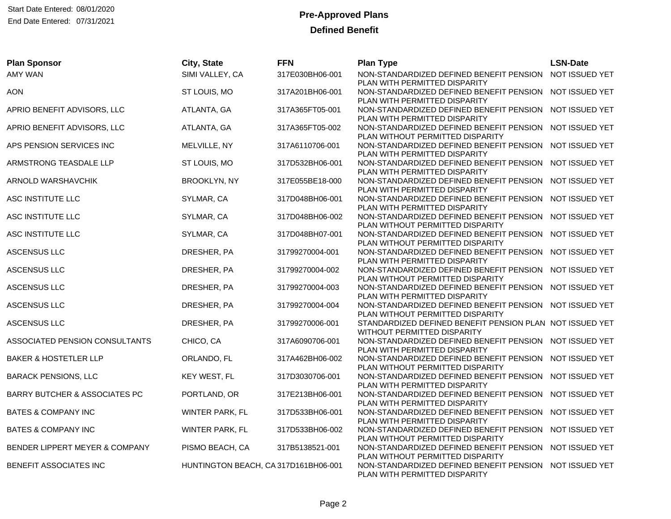| <b>Plan Sponsor</b>                      | City, State                          | <b>FFN</b>      | <b>Plan Type</b>                                                                                           | <b>LSN-Date</b> |
|------------------------------------------|--------------------------------------|-----------------|------------------------------------------------------------------------------------------------------------|-----------------|
| <b>AMY WAN</b>                           | SIMI VALLEY, CA                      | 317E030BH06-001 | NON-STANDARDIZED DEFINED BENEFIT PENSION                                                                   | NOT ISSUED YET  |
| <b>AON</b>                               | ST LOUIS, MO                         | 317A201BH06-001 | PLAN WITH PERMITTED DISPARITY<br>NON-STANDARDIZED DEFINED BENEFIT PENSION<br>PLAN WITH PERMITTED DISPARITY | NOT ISSUED YET  |
| APRIO BENEFIT ADVISORS, LLC              | ATLANTA, GA                          | 317A365FT05-001 | NON-STANDARDIZED DEFINED BENEFIT PENSION NOT ISSUED YET<br>PLAN WITH PERMITTED DISPARITY                   |                 |
| APRIO BENEFIT ADVISORS, LLC              | ATLANTA, GA                          | 317A365FT05-002 | NON-STANDARDIZED DEFINED BENEFIT PENSION<br>PLAN WITHOUT PERMITTED DISPARITY                               | NOT ISSUED YET  |
| APS PENSION SERVICES INC                 | MELVILLE, NY                         | 317A6110706-001 | NON-STANDARDIZED DEFINED BENEFIT PENSION<br>PLAN WITH PERMITTED DISPARITY                                  | NOT ISSUED YET  |
| ARMSTRONG TEASDALE LLP                   | ST LOUIS, MO                         | 317D532BH06-001 | NON-STANDARDIZED DEFINED BENEFIT PENSION<br>PLAN WITH PERMITTED DISPARITY                                  | NOT ISSUED YET  |
| ARNOLD WARSHAVCHIK                       | <b>BROOKLYN, NY</b>                  | 317E055BE18-000 | NON-STANDARDIZED DEFINED BENEFIT PENSION<br>PLAN WITH PERMITTED DISPARITY                                  | NOT ISSUED YET  |
| ASC INSTITUTE LLC                        | SYLMAR, CA                           | 317D048BH06-001 | NON-STANDARDIZED DEFINED BENEFIT PENSION NOT ISSUED YET<br>PLAN WITH PERMITTED DISPARITY                   |                 |
| ASC INSTITUTE LLC                        | SYLMAR, CA                           | 317D048BH06-002 | NON-STANDARDIZED DEFINED BENEFIT PENSION<br>PLAN WITHOUT PERMITTED DISPARITY                               | NOT ISSUED YET  |
| ASC INSTITUTE LLC                        | SYLMAR, CA                           | 317D048BH07-001 | NON-STANDARDIZED DEFINED BENEFIT PENSION NOT ISSUED YET<br>PLAN WITHOUT PERMITTED DISPARITY                |                 |
| <b>ASCENSUS LLC</b>                      | DRESHER, PA                          | 31799270004-001 | NON-STANDARDIZED DEFINED BENEFIT PENSION<br>PLAN WITH PERMITTED DISPARITY                                  | NOT ISSUED YET  |
| <b>ASCENSUS LLC</b>                      | DRESHER, PA                          | 31799270004-002 | NON-STANDARDIZED DEFINED BENEFIT PENSION<br>PLAN WITHOUT PERMITTED DISPARITY                               | NOT ISSUED YET  |
| ASCENSUS LLC                             | DRESHER, PA                          | 31799270004-003 | NON-STANDARDIZED DEFINED BENEFIT PENSION NOT ISSUED YET<br>PLAN WITH PERMITTED DISPARITY                   |                 |
| ASCENSUS LLC                             | DRESHER, PA                          | 31799270004-004 | NON-STANDARDIZED DEFINED BENEFIT PENSION<br>PLAN WITHOUT PERMITTED DISPARITY                               | NOT ISSUED YET  |
| ASCENSUS LLC                             | DRESHER, PA                          | 31799270006-001 | STANDARDIZED DEFINED BENEFIT PENSION PLAN NOT ISSUED YET<br>WITHOUT PERMITTED DISPARITY                    |                 |
| ASSOCIATED PENSION CONSULTANTS           | CHICO, CA                            | 317A6090706-001 | NON-STANDARDIZED DEFINED BENEFIT PENSION NOT ISSUED YET<br>PLAN WITH PERMITTED DISPARITY                   |                 |
| <b>BAKER &amp; HOSTETLER LLP</b>         | ORLANDO, FL                          | 317A462BH06-002 | NON-STANDARDIZED DEFINED BENEFIT PENSION NOT ISSUED YET<br>PLAN WITHOUT PERMITTED DISPARITY                |                 |
| <b>BARACK PENSIONS, LLC</b>              | KEY WEST, FL                         | 317D3030706-001 | NON-STANDARDIZED DEFINED BENEFIT PENSION<br>PLAN WITH PERMITTED DISPARITY                                  | NOT ISSUED YET  |
| <b>BARRY BUTCHER &amp; ASSOCIATES PC</b> | PORTLAND, OR                         | 317E213BH06-001 | NON-STANDARDIZED DEFINED BENEFIT PENSION<br>PLAN WITH PERMITTED DISPARITY                                  | NOT ISSUED YET  |
| <b>BATES &amp; COMPANY INC</b>           | WINTER PARK, FL                      | 317D533BH06-001 | NON-STANDARDIZED DEFINED BENEFIT PENSION NOT ISSUED YET<br>PLAN WITH PERMITTED DISPARITY                   |                 |
| <b>BATES &amp; COMPANY INC</b>           | WINTER PARK, FL                      | 317D533BH06-002 | NON-STANDARDIZED DEFINED BENEFIT PENSION<br>PLAN WITHOUT PERMITTED DISPARITY                               | NOT ISSUED YET  |
| BENDER LIPPERT MEYER & COMPANY           | PISMO BEACH, CA                      | 317B5138521-001 | NON-STANDARDIZED DEFINED BENEFIT PENSION NOT ISSUED YET<br>PLAN WITHOUT PERMITTED DISPARITY                |                 |
| BENEFIT ASSOCIATES INC                   | HUNTINGTON BEACH, CA 317D161BH06-001 |                 | NON-STANDARDIZED DEFINED BENEFIT PENSION NOT ISSUED YET<br>PLAN WITH PERMITTED DISPARITY                   |                 |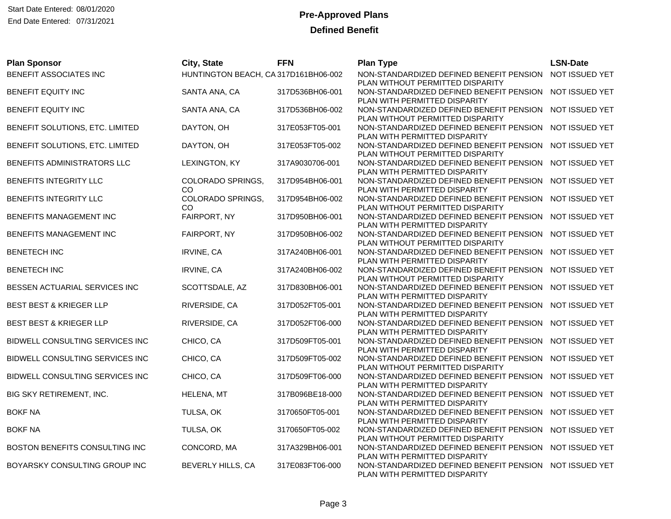Start Date Entered: 08/01/2020 **Pre-Approved Plans** End Date Entered: 07/31/2021

| <b>Plan Sponsor</b>             | City, State                          | <b>FFN</b>      | <b>Plan Type</b>                                                                                           | <b>LSN-Date</b> |
|---------------------------------|--------------------------------------|-----------------|------------------------------------------------------------------------------------------------------------|-----------------|
| BENEFIT ASSOCIATES INC          | HUNTINGTON BEACH, CA 317D161BH06-002 |                 | NON-STANDARDIZED DEFINED BENEFIT PENSION<br>PLAN WITHOUT PERMITTED DISPARITY                               | NOT ISSUED YET  |
| BENEFIT EQUITY INC              | SANTA ANA, CA                        | 317D536BH06-001 | NON-STANDARDIZED DEFINED BENEFIT PENSION<br>PLAN WITH PERMITTED DISPARITY                                  | NOT ISSUED YET  |
| BENEFIT EQUITY INC              | SANTA ANA, CA                        | 317D536BH06-002 | NON-STANDARDIZED DEFINED BENEFIT PENSION<br>PLAN WITHOUT PERMITTED DISPARITY                               | NOT ISSUED YET  |
| BENEFIT SOLUTIONS, ETC. LIMITED | DAYTON, OH                           | 317E053FT05-001 | NON-STANDARDIZED DEFINED BENEFIT PENSION<br>PLAN WITH PERMITTED DISPARITY                                  | NOT ISSUED YET  |
| BENEFIT SOLUTIONS, ETC. LIMITED | DAYTON, OH                           | 317E053FT05-002 | NON-STANDARDIZED DEFINED BENEFIT PENSION<br>PLAN WITHOUT PERMITTED DISPARITY                               | NOT ISSUED YET  |
| BENEFITS ADMINISTRATORS LLC     | LEXINGTON, KY                        | 317A9030706-001 | NON-STANDARDIZED DEFINED BENEFIT PENSION<br>PLAN WITH PERMITTED DISPARITY                                  | NOT ISSUED YET  |
| BENEFITS INTEGRITY LLC          | COLORADO SPRINGS,<br><b>CO</b>       | 317D954BH06-001 | NON-STANDARDIZED DEFINED BENEFIT PENSION<br>PLAN WITH PERMITTED DISPARITY                                  | NOT ISSUED YET  |
| BENEFITS INTEGRITY LLC          | COLORADO SPRINGS,<br>CO.             | 317D954BH06-002 | NON-STANDARDIZED DEFINED BENEFIT PENSION<br>PLAN WITHOUT PERMITTED DISPARITY                               | NOT ISSUED YET  |
| BENEFITS MANAGEMENT INC         | FAIRPORT, NY                         | 317D950BH06-001 | NON-STANDARDIZED DEFINED BENEFIT PENSION<br>PLAN WITH PERMITTED DISPARITY                                  | NOT ISSUED YET  |
| BENEFITS MANAGEMENT INC         | FAIRPORT, NY                         | 317D950BH06-002 | NON-STANDARDIZED DEFINED BENEFIT PENSION<br>PLAN WITHOUT PERMITTED DISPARITY                               | NOT ISSUED YET  |
| <b>BENETECH INC</b>             | IRVINE, CA                           | 317A240BH06-001 | NON-STANDARDIZED DEFINED BENEFIT PENSION<br>PLAN WITH PERMITTED DISPARITY                                  | NOT ISSUED YET  |
| <b>BENETECH INC</b>             | IRVINE, CA                           | 317A240BH06-002 | NON-STANDARDIZED DEFINED BENEFIT PENSION<br>PLAN WITHOUT PERMITTED DISPARITY                               | NOT ISSUED YET  |
| BESSEN ACTUARIAL SERVICES INC   | SCOTTSDALE, AZ                       | 317D830BH06-001 | NON-STANDARDIZED DEFINED BENEFIT PENSION                                                                   | NOT ISSUED YET  |
| BEST BEST & KRIEGER LLP         | RIVERSIDE, CA                        | 317D052FT05-001 | PLAN WITH PERMITTED DISPARITY<br>NON-STANDARDIZED DEFINED BENEFIT PENSION                                  | NOT ISSUED YET  |
| BEST BEST & KRIEGER LLP         | RIVERSIDE, CA                        | 317D052FT06-000 | PLAN WITH PERMITTED DISPARITY<br>NON-STANDARDIZED DEFINED BENEFIT PENSION                                  | NOT ISSUED YET  |
| BIDWELL CONSULTING SERVICES INC | CHICO, CA                            | 317D509FT05-001 | PLAN WITH PERMITTED DISPARITY<br>NON-STANDARDIZED DEFINED BENEFIT PENSION                                  | NOT ISSUED YET  |
| BIDWELL CONSULTING SERVICES INC | CHICO, CA                            | 317D509FT05-002 | PLAN WITH PERMITTED DISPARITY<br>NON-STANDARDIZED DEFINED BENEFIT PENSION                                  | NOT ISSUED YET  |
| BIDWELL CONSULTING SERVICES INC | CHICO, CA                            | 317D509FT06-000 | PLAN WITHOUT PERMITTED DISPARITY<br>NON-STANDARDIZED DEFINED BENEFIT PENSION                               | NOT ISSUED YET  |
| BIG SKY RETIREMENT, INC.        | HELENA, MT                           | 317B096BE18-000 | PLAN WITH PERMITTED DISPARITY<br>NON-STANDARDIZED DEFINED BENEFIT PENSION                                  | NOT ISSUED YET  |
| <b>BOKF NA</b>                  | TULSA, OK                            | 3170650FT05-001 | PLAN WITH PERMITTED DISPARITY<br>NON-STANDARDIZED DEFINED BENEFIT PENSION                                  | NOT ISSUED YET  |
| <b>BOKF NA</b>                  | TULSA, OK                            | 3170650FT05-002 | PLAN WITH PERMITTED DISPARITY<br>NON-STANDARDIZED DEFINED BENEFIT PENSION                                  | NOT ISSUED YET  |
| BOSTON BENEFITS CONSULTING INC  | CONCORD, MA                          | 317A329BH06-001 | PLAN WITHOUT PERMITTED DISPARITY<br>NON-STANDARDIZED DEFINED BENEFIT PENSION                               | NOT ISSUED YET  |
| BOYARSKY CONSULTING GROUP INC   | BEVERLY HILLS, CA                    | 317E083FT06-000 | PLAN WITH PERMITTED DISPARITY<br>NON-STANDARDIZED DEFINED BENEFIT PENSION<br>PLAN WITH PERMITTED DISPARITY | NOT ISSUED YET  |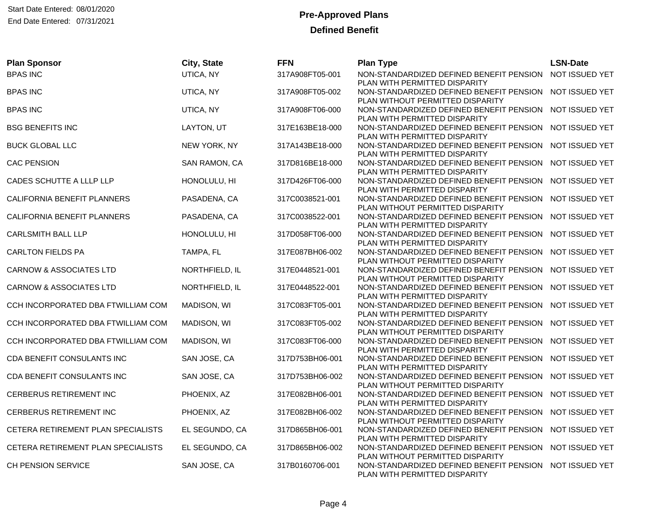| <b>Plan Sponsor</b>                | City, State    | <b>FFN</b>      | <b>Plan Type</b>                                                          | <b>LSN-Date</b> |
|------------------------------------|----------------|-----------------|---------------------------------------------------------------------------|-----------------|
| <b>BPAS INC</b>                    | UTICA, NY      | 317A908FT05-001 | NON-STANDARDIZED DEFINED BENEFIT PENSION                                  | NOT ISSUED YET  |
| <b>BPAS INC</b>                    | UTICA, NY      | 317A908FT05-002 | PLAN WITH PERMITTED DISPARITY<br>NON-STANDARDIZED DEFINED BENEFIT PENSION | NOT ISSUED YET  |
|                                    |                |                 | PLAN WITHOUT PERMITTED DISPARITY                                          |                 |
| <b>BPAS INC</b>                    | UTICA, NY      | 317A908FT06-000 | NON-STANDARDIZED DEFINED BENEFIT PENSION NOT ISSUED YET                   |                 |
|                                    |                |                 | PLAN WITH PERMITTED DISPARITY                                             |                 |
| <b>BSG BENEFITS INC</b>            | LAYTON, UT     | 317E163BE18-000 | NON-STANDARDIZED DEFINED BENEFIT PENSION                                  | NOT ISSUED YET  |
|                                    |                |                 | PLAN WITH PERMITTED DISPARITY                                             | NOT ISSUED YET  |
| <b>BUCK GLOBAL LLC</b>             | NEW YORK, NY   | 317A143BE18-000 | NON-STANDARDIZED DEFINED BENEFIT PENSION<br>PLAN WITH PERMITTED DISPARITY |                 |
| <b>CAC PENSION</b>                 | SAN RAMON, CA  | 317D816BE18-000 | NON-STANDARDIZED DEFINED BENEFIT PENSION                                  | NOT ISSUED YET  |
|                                    |                |                 | PLAN WITH PERMITTED DISPARITY                                             |                 |
| CADES SCHUTTE A LLLP LLP           | HONOLULU, HI   | 317D426FT06-000 | NON-STANDARDIZED DEFINED BENEFIT PENSION                                  | NOT ISSUED YET  |
|                                    |                |                 | PLAN WITH PERMITTED DISPARITY                                             |                 |
| CALIFORNIA BENEFIT PLANNERS        | PASADENA, CA   | 317C0038521-001 | NON-STANDARDIZED DEFINED BENEFIT PENSION                                  | NOT ISSUED YET  |
|                                    |                |                 | PLAN WITHOUT PERMITTED DISPARITY                                          |                 |
| CALIFORNIA BENEFIT PLANNERS        | PASADENA, CA   | 317C0038522-001 | NON-STANDARDIZED DEFINED BENEFIT PENSION                                  | NOT ISSUED YET  |
| <b>CARLSMITH BALL LLP</b>          | HONOLULU, HI   | 317D058FT06-000 | PLAN WITH PERMITTED DISPARITY<br>NON-STANDARDIZED DEFINED BENEFIT PENSION | NOT ISSUED YET  |
|                                    |                |                 | PLAN WITH PERMITTED DISPARITY                                             |                 |
| <b>CARLTON FIELDS PA</b>           | TAMPA, FL      | 317E087BH06-002 | NON-STANDARDIZED DEFINED BENEFIT PENSION                                  | NOT ISSUED YET  |
|                                    |                |                 | PLAN WITHOUT PERMITTED DISPARITY                                          |                 |
| <b>CARNOW &amp; ASSOCIATES LTD</b> | NORTHFIELD, IL | 317E0448521-001 | NON-STANDARDIZED DEFINED BENEFIT PENSION                                  | NOT ISSUED YET  |
|                                    |                |                 | PLAN WITHOUT PERMITTED DISPARITY                                          |                 |
| <b>CARNOW &amp; ASSOCIATES LTD</b> | NORTHFIELD, IL | 317E0448522-001 | NON-STANDARDIZED DEFINED BENEFIT PENSION                                  | NOT ISSUED YET  |
|                                    |                |                 | PLAN WITH PERMITTED DISPARITY                                             |                 |
| CCH INCORPORATED DBA FTWILLIAM COM | MADISON, WI    | 317C083FT05-001 | NON-STANDARDIZED DEFINED BENEFIT PENSION                                  | NOT ISSUED YET  |
| CCH INCORPORATED DBA FTWILLIAM COM | MADISON, WI    | 317C083FT05-002 | PLAN WITH PERMITTED DISPARITY<br>NON-STANDARDIZED DEFINED BENEFIT PENSION | NOT ISSUED YET  |
|                                    |                |                 | PLAN WITHOUT PERMITTED DISPARITY                                          |                 |
| CCH INCORPORATED DBA FTWILLIAM COM | MADISON, WI    | 317C083FT06-000 | NON-STANDARDIZED DEFINED BENEFIT PENSION                                  | NOT ISSUED YET  |
|                                    |                |                 | PLAN WITH PERMITTED DISPARITY                                             |                 |
| CDA BENEFIT CONSULANTS INC         | SAN JOSE, CA   | 317D753BH06-001 | NON-STANDARDIZED DEFINED BENEFIT PENSION                                  | NOT ISSUED YET  |
|                                    |                |                 | PLAN WITH PERMITTED DISPARITY                                             |                 |
| CDA BENEFIT CONSULANTS INC         | SAN JOSE, CA   | 317D753BH06-002 | NON-STANDARDIZED DEFINED BENEFIT PENSION                                  | NOT ISSUED YET  |
|                                    |                |                 | PLAN WITHOUT PERMITTED DISPARITY                                          |                 |
| CERBERUS RETIREMENT INC            | PHOENIX, AZ    | 317E082BH06-001 | NON-STANDARDIZED DEFINED BENEFIT PENSION<br>PLAN WITH PERMITTED DISPARITY | NOT ISSUED YET  |
| CERBERUS RETIREMENT INC            | PHOENIX, AZ    | 317E082BH06-002 | NON-STANDARDIZED DEFINED BENEFIT PENSION                                  | NOT ISSUED YET  |
|                                    |                |                 | PLAN WITHOUT PERMITTED DISPARITY                                          |                 |
| CETERA RETIREMENT PLAN SPECIALISTS | EL SEGUNDO, CA | 317D865BH06-001 | NON-STANDARDIZED DEFINED BENEFIT PENSION                                  | NOT ISSUED YET  |
|                                    |                |                 | PLAN WITH PERMITTED DISPARITY                                             |                 |
| CETERA RETIREMENT PLAN SPECIALISTS | EL SEGUNDO, CA | 317D865BH06-002 | NON-STANDARDIZED DEFINED BENEFIT PENSION                                  | NOT ISSUED YET  |
|                                    |                |                 | PLAN WITHOUT PERMITTED DISPARITY                                          |                 |
| CH PENSION SERVICE                 | SAN JOSE, CA   | 317B0160706-001 | NON-STANDARDIZED DEFINED BENEFIT PENSION                                  | NOT ISSUED YET  |
|                                    |                |                 | PLAN WITH PERMITTED DISPARITY                                             |                 |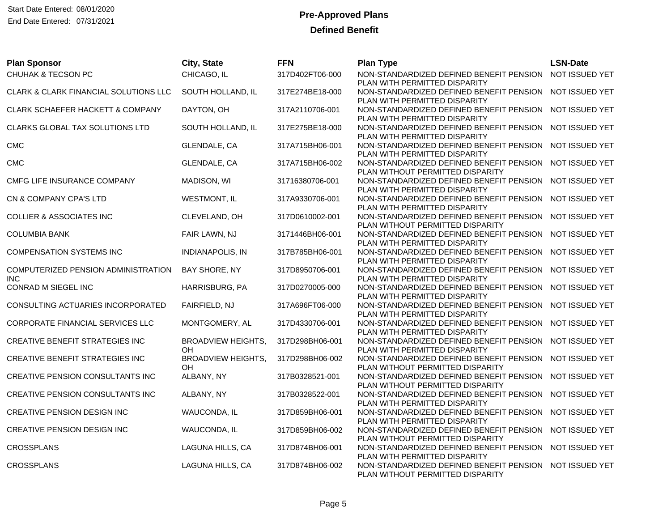| <b>Plan Sponsor</b>                    | City, State               | <b>FFN</b>      | <b>Plan Type</b>                                                                         | <b>LSN-Date</b> |
|----------------------------------------|---------------------------|-----------------|------------------------------------------------------------------------------------------|-----------------|
| CHUHAK & TECSON PC                     | CHICAGO, IL               | 317D402FT06-000 | NON-STANDARDIZED DEFINED BENEFIT PENSION                                                 | NOT ISSUED YET  |
|                                        |                           |                 | PLAN WITH PERMITTED DISPARITY                                                            |                 |
| CLARK & CLARK FINANCIAL SOLUTIONS LLC  | SOUTH HOLLAND, IL         | 317E274BE18-000 | NON-STANDARDIZED DEFINED BENEFIT PENSION                                                 | NOT ISSUED YET  |
| CLARK SCHAEFER HACKETT & COMPANY       | DAYTON, OH                | 317A2110706-001 | PLAN WITH PERMITTED DISPARITY<br>NON-STANDARDIZED DEFINED BENEFIT PENSION NOT ISSUED YET |                 |
|                                        |                           |                 | PLAN WITH PERMITTED DISPARITY                                                            |                 |
| CLARKS GLOBAL TAX SOLUTIONS LTD        | SOUTH HOLLAND, IL         | 317E275BE18-000 | NON-STANDARDIZED DEFINED BENEFIT PENSION                                                 | NOT ISSUED YET  |
|                                        |                           |                 | PLAN WITH PERMITTED DISPARITY                                                            |                 |
| <b>CMC</b>                             | GLENDALE, CA              | 317A715BH06-001 | NON-STANDARDIZED DEFINED BENEFIT PENSION                                                 | NOT ISSUED YET  |
|                                        |                           |                 | PLAN WITH PERMITTED DISPARITY                                                            |                 |
| <b>CMC</b>                             | GLENDALE, CA              | 317A715BH06-002 | NON-STANDARDIZED DEFINED BENEFIT PENSION                                                 | NOT ISSUED YET  |
|                                        |                           |                 | PLAN WITHOUT PERMITTED DISPARITY                                                         |                 |
| CMFG LIFE INSURANCE COMPANY            | MADISON, WI               | 31716380706-001 | NON-STANDARDIZED DEFINED BENEFIT PENSION                                                 | NOT ISSUED YET  |
| CN & COMPANY CPA'S LTD                 | <b>WESTMONT, IL</b>       | 317A9330706-001 | PLAN WITH PERMITTED DISPARITY<br>NON-STANDARDIZED DEFINED BENEFIT PENSION                | NOT ISSUED YET  |
|                                        |                           |                 | PLAN WITH PERMITTED DISPARITY                                                            |                 |
| <b>COLLIER &amp; ASSOCIATES INC</b>    | CLEVELAND, OH             | 317D0610002-001 | NON-STANDARDIZED DEFINED BENEFIT PENSION                                                 | NOT ISSUED YET  |
|                                        |                           |                 | PLAN WITHOUT PERMITTED DISPARITY                                                         |                 |
| <b>COLUMBIA BANK</b>                   | FAIR LAWN, NJ             | 3171446BH06-001 | NON-STANDARDIZED DEFINED BENEFIT PENSION NOT ISSUED YET                                  |                 |
|                                        |                           |                 | PLAN WITH PERMITTED DISPARITY                                                            |                 |
| <b>COMPENSATION SYSTEMS INC</b>        | INDIANAPOLIS, IN          | 317B785BH06-001 | NON-STANDARDIZED DEFINED BENEFIT PENSION                                                 | NOT ISSUED YET  |
|                                        |                           |                 | PLAN WITH PERMITTED DISPARITY                                                            |                 |
| COMPUTERIZED PENSION ADMINISTRATION    | BAY SHORE, NY             | 317D8950706-001 | NON-STANDARDIZED DEFINED BENEFIT PENSION                                                 | NOT ISSUED YET  |
| <b>INC</b>                             |                           |                 | PLAN WITH PERMITTED DISPARITY                                                            |                 |
| CONRAD M SIEGEL INC                    | HARRISBURG, PA            | 317D0270005-000 | NON-STANDARDIZED DEFINED BENEFIT PENSION<br>PLAN WITH PERMITTED DISPARITY                | NOT ISSUED YET  |
| CONSULTING ACTUARIES INCORPORATED      | FAIRFIELD, NJ             | 317A696FT06-000 | NON-STANDARDIZED DEFINED BENEFIT PENSION                                                 | NOT ISSUED YET  |
|                                        |                           |                 | PLAN WITH PERMITTED DISPARITY                                                            |                 |
| CORPORATE FINANCIAL SERVICES LLC       | MONTGOMERY, AL            | 317D4330706-001 | NON-STANDARDIZED DEFINED BENEFIT PENSION NOT ISSUED YET                                  |                 |
|                                        |                           |                 | PLAN WITH PERMITTED DISPARITY                                                            |                 |
| CREATIVE BENEFIT STRATEGIES INC        | <b>BROADVIEW HEIGHTS,</b> | 317D298BH06-001 | NON-STANDARDIZED DEFINED BENEFIT PENSION                                                 | NOT ISSUED YET  |
|                                        | OН                        |                 | PLAN WITH PERMITTED DISPARITY                                                            |                 |
| <b>CREATIVE BENEFIT STRATEGIES INC</b> | <b>BROADVIEW HEIGHTS,</b> | 317D298BH06-002 | NON-STANDARDIZED DEFINED BENEFIT PENSION NOT ISSUED YET                                  |                 |
|                                        | OН                        |                 | PLAN WITHOUT PERMITTED DISPARITY                                                         |                 |
| CREATIVE PENSION CONSULTANTS INC       | ALBANY, NY                | 317B0328521-001 | NON-STANDARDIZED DEFINED BENEFIT PENSION<br>PLAN WITHOUT PERMITTED DISPARITY             | NOT ISSUED YET  |
| CREATIVE PENSION CONSULTANTS INC       | ALBANY, NY                | 317B0328522-001 | NON-STANDARDIZED DEFINED BENEFIT PENSION                                                 | NOT ISSUED YET  |
|                                        |                           |                 | PLAN WITH PERMITTED DISPARITY                                                            |                 |
| CREATIVE PENSION DESIGN INC            | WAUCONDA, IL              | 317D859BH06-001 | NON-STANDARDIZED DEFINED BENEFIT PENSION                                                 | NOT ISSUED YET  |
|                                        |                           |                 | PLAN WITH PERMITTED DISPARITY                                                            |                 |
| CREATIVE PENSION DESIGN INC            | WAUCONDA, IL              | 317D859BH06-002 | NON-STANDARDIZED DEFINED BENEFIT PENSION                                                 | NOT ISSUED YET  |
|                                        |                           |                 | PLAN WITHOUT PERMITTED DISPARITY                                                         |                 |
| <b>CROSSPLANS</b>                      | LAGUNA HILLS, CA          | 317D874BH06-001 | NON-STANDARDIZED DEFINED BENEFIT PENSION NOT ISSUED YET                                  |                 |
|                                        |                           |                 | PLAN WITH PERMITTED DISPARITY                                                            | NOT ISSUED YET  |
| <b>CROSSPLANS</b>                      | LAGUNA HILLS, CA          | 317D874BH06-002 | NON-STANDARDIZED DEFINED BENEFIT PENSION<br>PLAN WITHOUT PERMITTED DISPARITY             |                 |
|                                        |                           |                 |                                                                                          |                 |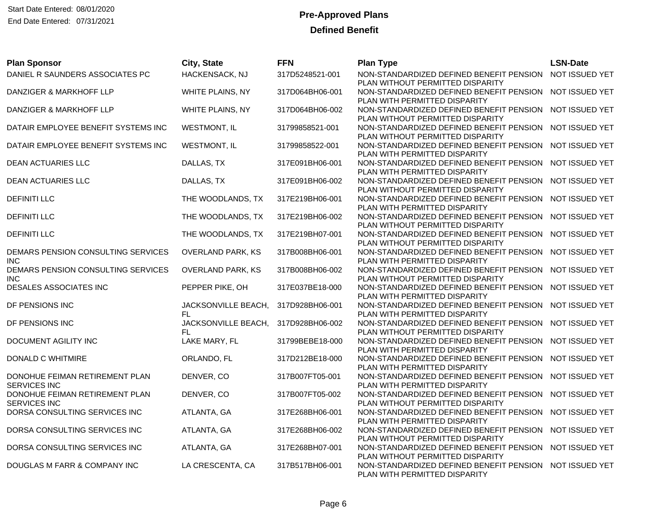| <b>Plan Sponsor</b>                                   | City, State                               | <b>FFN</b>      | <b>Plan Type</b>                                                             | <b>LSN-Date</b> |
|-------------------------------------------------------|-------------------------------------------|-----------------|------------------------------------------------------------------------------|-----------------|
| DANIEL R SAUNDERS ASSOCIATES PC                       | HACKENSACK, NJ                            | 317D5248521-001 | NON-STANDARDIZED DEFINED BENEFIT PENSION<br>PLAN WITHOUT PERMITTED DISPARITY | NOT ISSUED YET  |
| DANZIGER & MARKHOFF LLP                               | WHITE PLAINS, NY                          | 317D064BH06-001 | NON-STANDARDIZED DEFINED BENEFIT PENSION<br>PLAN WITH PERMITTED DISPARITY    | NOT ISSUED YET  |
| DANZIGER & MARKHOFF LLP                               | WHITE PLAINS, NY                          | 317D064BH06-002 | NON-STANDARDIZED DEFINED BENEFIT PENSION<br>PLAN WITHOUT PERMITTED DISPARITY | NOT ISSUED YET  |
| DATAIR EMPLOYEE BENEFIT SYSTEMS INC                   | <b>WESTMONT, IL</b>                       | 31799858521-001 | NON-STANDARDIZED DEFINED BENEFIT PENSION<br>PLAN WITHOUT PERMITTED DISPARITY | NOT ISSUED YET  |
| DATAIR EMPLOYEE BENEFIT SYSTEMS INC                   | <b>WESTMONT, IL</b>                       | 31799858522-001 | NON-STANDARDIZED DEFINED BENEFIT PENSION<br>PLAN WITH PERMITTED DISPARITY    | NOT ISSUED YET  |
| <b>DEAN ACTUARIES LLC</b>                             | DALLAS, TX                                | 317E091BH06-001 | NON-STANDARDIZED DEFINED BENEFIT PENSION<br>PLAN WITH PERMITTED DISPARITY    | NOT ISSUED YET  |
| <b>DEAN ACTUARIES LLC</b>                             | DALLAS, TX                                | 317E091BH06-002 | NON-STANDARDIZED DEFINED BENEFIT PENSION<br>PLAN WITHOUT PERMITTED DISPARITY | NOT ISSUED YET  |
| <b>DEFINITI LLC</b>                                   | THE WOODLANDS, TX                         | 317E219BH06-001 | NON-STANDARDIZED DEFINED BENEFIT PENSION<br>PLAN WITH PERMITTED DISPARITY    | NOT ISSUED YET  |
| <b>DEFINITI LLC</b>                                   | THE WOODLANDS, TX                         | 317E219BH06-002 | NON-STANDARDIZED DEFINED BENEFIT PENSION<br>PLAN WITHOUT PERMITTED DISPARITY | NOT ISSUED YET  |
| <b>DEFINITI LLC</b>                                   | THE WOODLANDS, TX                         | 317E219BH07-001 | NON-STANDARDIZED DEFINED BENEFIT PENSION<br>PLAN WITHOUT PERMITTED DISPARITY | NOT ISSUED YET  |
| DEMARS PENSION CONSULTING SERVICES<br><b>INC</b>      | OVERLAND PARK, KS                         | 317B008BH06-001 | NON-STANDARDIZED DEFINED BENEFIT PENSION<br>PLAN WITH PERMITTED DISPARITY    | NOT ISSUED YET  |
| DEMARS PENSION CONSULTING SERVICES<br><b>INC</b>      | <b>OVERLAND PARK, KS</b>                  | 317B008BH06-002 | NON-STANDARDIZED DEFINED BENEFIT PENSION<br>PLAN WITHOUT PERMITTED DISPARITY | NOT ISSUED YET  |
| DESALES ASSOCIATES INC                                | PEPPER PIKE, OH                           | 317E037BE18-000 | NON-STANDARDIZED DEFINED BENEFIT PENSION<br>PLAN WITH PERMITTED DISPARITY    | NOT ISSUED YET  |
| DF PENSIONS INC                                       | JACKSONVILLE BEACH,<br>FL.                | 317D928BH06-001 | NON-STANDARDIZED DEFINED BENEFIT PENSION<br>PLAN WITH PERMITTED DISPARITY    | NOT ISSUED YET  |
| DF PENSIONS INC                                       | JACKSONVILLE BEACH, 317D928BH06-002<br>FL |                 | NON-STANDARDIZED DEFINED BENEFIT PENSION<br>PLAN WITHOUT PERMITTED DISPARITY | NOT ISSUED YET  |
| DOCUMENT AGILITY INC                                  | LAKE MARY, FL                             | 31799BEBE18-000 | NON-STANDARDIZED DEFINED BENEFIT PENSION<br>PLAN WITH PERMITTED DISPARITY    | NOT ISSUED YET  |
| DONALD C WHITMIRE                                     | ORLANDO, FL                               | 317D212BE18-000 | NON-STANDARDIZED DEFINED BENEFIT PENSION<br>PLAN WITH PERMITTED DISPARITY    | NOT ISSUED YET  |
| DONOHUE FEIMAN RETIREMENT PLAN<br><b>SERVICES INC</b> | DENVER, CO                                | 317B007FT05-001 | NON-STANDARDIZED DEFINED BENEFIT PENSION<br>PLAN WITH PERMITTED DISPARITY    | NOT ISSUED YET  |
| DONOHUE FEIMAN RETIREMENT PLAN<br><b>SERVICES INC</b> | DENVER, CO                                | 317B007FT05-002 | NON-STANDARDIZED DEFINED BENEFIT PENSION<br>PLAN WITHOUT PERMITTED DISPARITY | NOT ISSUED YET  |
| DORSA CONSULTING SERVICES INC                         | ATLANTA, GA                               | 317E268BH06-001 | NON-STANDARDIZED DEFINED BENEFIT PENSION<br>PLAN WITH PERMITTED DISPARITY    | NOT ISSUED YET  |
| DORSA CONSULTING SERVICES INC                         | ATLANTA, GA                               | 317E268BH06-002 | NON-STANDARDIZED DEFINED BENEFIT PENSION<br>PLAN WITHOUT PERMITTED DISPARITY | NOT ISSUED YET  |
| DORSA CONSULTING SERVICES INC                         | ATLANTA, GA                               | 317E268BH07-001 | NON-STANDARDIZED DEFINED BENEFIT PENSION<br>PLAN WITHOUT PERMITTED DISPARITY | NOT ISSUED YET  |
| DOUGLAS M FARR & COMPANY INC                          | LA CRESCENTA, CA                          | 317B517BH06-001 | NON-STANDARDIZED DEFINED BENEFIT PENSION<br>PLAN WITH PERMITTED DISPARITY    | NOT ISSUED YET  |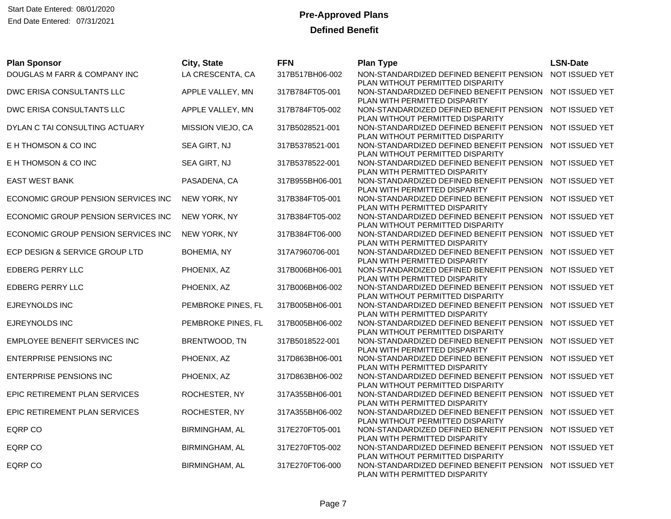Start Date Entered: 08/01/2020 **Pre-Approved Plans** End Date Entered: 07/31/2021

| <b>Plan Sponsor</b>                 | City, State           | <b>FFN</b>      | <b>Plan Type</b>                                                                            | <b>LSN-Date</b> |
|-------------------------------------|-----------------------|-----------------|---------------------------------------------------------------------------------------------|-----------------|
| DOUGLAS M FARR & COMPANY INC        | LA CRESCENTA, CA      | 317B517BH06-002 | NON-STANDARDIZED DEFINED BENEFIT PENSION NOT ISSUED YET<br>PLAN WITHOUT PERMITTED DISPARITY |                 |
| DWC ERISA CONSULTANTS LLC           | APPLE VALLEY, MN      | 317B784FT05-001 | NON-STANDARDIZED DEFINED BENEFIT PENSION NOT ISSUED YET                                     |                 |
|                                     |                       |                 | PLAN WITH PERMITTED DISPARITY                                                               |                 |
| DWC ERISA CONSULTANTS LLC           | APPLE VALLEY, MN      | 317B784FT05-002 | NON-STANDARDIZED DEFINED BENEFIT PENSION NOT ISSUED YET<br>PLAN WITHOUT PERMITTED DISPARITY |                 |
| DYLAN C TAI CONSULTING ACTUARY      | MISSION VIEJO, CA     | 317B5028521-001 | NON-STANDARDIZED DEFINED BENEFIT PENSION                                                    | NOT ISSUED YET  |
|                                     |                       |                 | PLAN WITHOUT PERMITTED DISPARITY                                                            |                 |
| E H THOMSON & CO INC                | SEA GIRT, NJ          | 317B5378521-001 | NON-STANDARDIZED DEFINED BENEFIT PENSION NOT ISSUED YET                                     |                 |
| E H THOMSON & CO INC                | SEA GIRT, NJ          | 317B5378522-001 | PLAN WITHOUT PERMITTED DISPARITY<br>NON-STANDARDIZED DEFINED BENEFIT PENSION NOT ISSUED YET |                 |
|                                     |                       |                 | PLAN WITH PERMITTED DISPARITY                                                               |                 |
| <b>EAST WEST BANK</b>               | PASADENA, CA          | 317B955BH06-001 | NON-STANDARDIZED DEFINED BENEFIT PENSION                                                    | NOT ISSUED YET  |
|                                     |                       |                 | PLAN WITH PERMITTED DISPARITY<br>NON-STANDARDIZED DEFINED BENEFIT PENSION NOT ISSUED YET    |                 |
| ECONOMIC GROUP PENSION SERVICES INC | NEW YORK, NY          | 317B384FT05-001 | PLAN WITH PERMITTED DISPARITY                                                               |                 |
| ECONOMIC GROUP PENSION SERVICES INC | NEW YORK, NY          | 317B384FT05-002 | NON-STANDARDIZED DEFINED BENEFIT PENSION                                                    | NOT ISSUED YET  |
|                                     |                       |                 | PLAN WITHOUT PERMITTED DISPARITY                                                            |                 |
| ECONOMIC GROUP PENSION SERVICES INC | NEW YORK, NY          | 317B384FT06-000 | NON-STANDARDIZED DEFINED BENEFIT PENSION NOT ISSUED YET                                     |                 |
| ECP DESIGN & SERVICE GROUP LTD      | <b>BOHEMIA, NY</b>    | 317A7960706-001 | PLAN WITH PERMITTED DISPARITY<br>NON-STANDARDIZED DEFINED BENEFIT PENSION                   | NOT ISSUED YET  |
|                                     |                       |                 | PLAN WITH PERMITTED DISPARITY                                                               |                 |
| <b>EDBERG PERRY LLC</b>             | PHOENIX, AZ           | 317B006BH06-001 | NON-STANDARDIZED DEFINED BENEFIT PENSION                                                    | NOT ISSUED YET  |
|                                     |                       |                 | PLAN WITH PERMITTED DISPARITY                                                               |                 |
| <b>EDBERG PERRY LLC</b>             | PHOENIX, AZ           | 317B006BH06-002 | NON-STANDARDIZED DEFINED BENEFIT PENSION NOT ISSUED YET                                     |                 |
| EJREYNOLDS INC                      | PEMBROKE PINES, FL    | 317B005BH06-001 | PLAN WITHOUT PERMITTED DISPARITY<br>NON-STANDARDIZED DEFINED BENEFIT PENSION                | NOT ISSUED YET  |
|                                     |                       |                 | PLAN WITH PERMITTED DISPARITY                                                               |                 |
| EJREYNOLDS INC                      | PEMBROKE PINES, FL    | 317B005BH06-002 | NON-STANDARDIZED DEFINED BENEFIT PENSION NOT ISSUED YET                                     |                 |
|                                     |                       |                 | PLAN WITHOUT PERMITTED DISPARITY                                                            |                 |
| EMPLOYEE BENEFIT SERVICES INC       | BRENTWOOD, TN         | 317B5018522-001 | NON-STANDARDIZED DEFINED BENEFIT PENSION<br>PLAN WITH PERMITTED DISPARITY                   | NOT ISSUED YET  |
| <b>ENTERPRISE PENSIONS INC</b>      | PHOENIX, AZ           | 317D863BH06-001 | NON-STANDARDIZED DEFINED BENEFIT PENSION NOT ISSUED YET                                     |                 |
|                                     |                       |                 | PLAN WITH PERMITTED DISPARITY                                                               |                 |
| <b>ENTERPRISE PENSIONS INC</b>      | PHOENIX, AZ           | 317D863BH06-002 | NON-STANDARDIZED DEFINED BENEFIT PENSION                                                    | NOT ISSUED YET  |
| EPIC RETIREMENT PLAN SERVICES       | ROCHESTER, NY         | 317A355BH06-001 | PLAN WITHOUT PERMITTED DISPARITY<br>NON-STANDARDIZED DEFINED BENEFIT PENSION                | NOT ISSUED YET  |
|                                     |                       |                 | PLAN WITH PERMITTED DISPARITY                                                               |                 |
| EPIC RETIREMENT PLAN SERVICES       | ROCHESTER, NY         | 317A355BH06-002 | NON-STANDARDIZED DEFINED BENEFIT PENSION NOT ISSUED YET                                     |                 |
|                                     |                       |                 | PLAN WITHOUT PERMITTED DISPARITY                                                            |                 |
| <b>EQRP CO</b>                      | <b>BIRMINGHAM, AL</b> | 317E270FT05-001 | NON-STANDARDIZED DEFINED BENEFIT PENSION                                                    | NOT ISSUED YET  |
| <b>EQRP CO</b>                      | <b>BIRMINGHAM, AL</b> | 317E270FT05-002 | PLAN WITH PERMITTED DISPARITY<br>NON-STANDARDIZED DEFINED BENEFIT PENSION NOT ISSUED YET    |                 |
|                                     |                       |                 | PLAN WITHOUT PERMITTED DISPARITY                                                            |                 |
| <b>EQRP CO</b>                      | <b>BIRMINGHAM, AL</b> | 317E270FT06-000 | NON-STANDARDIZED DEFINED BENEFIT PENSION NOT ISSUED YET                                     |                 |
|                                     |                       |                 | PLAN WITH PERMITTED DISPARITY                                                               |                 |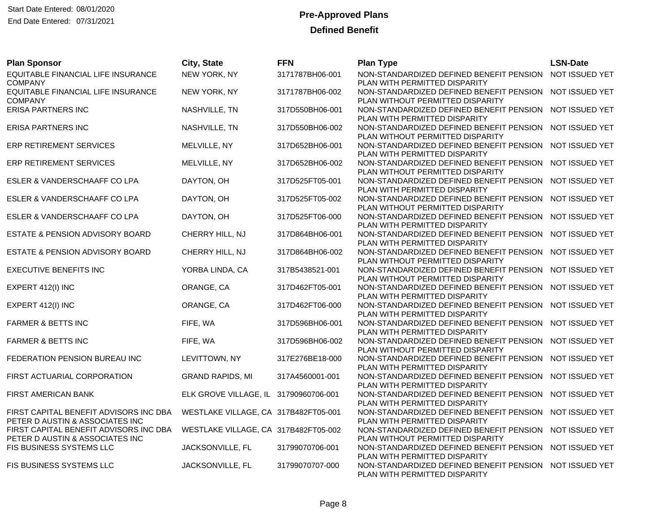| <b>Plan Sponsor</b>                                                       | City, State                           | <b>FFN</b>      | <b>Plan Type</b>                                                                            | <b>LSN-Date</b> |
|---------------------------------------------------------------------------|---------------------------------------|-----------------|---------------------------------------------------------------------------------------------|-----------------|
| EQUITABLE FINANCIAL LIFE INSURANCE<br><b>COMPANY</b>                      | NEW YORK, NY                          | 3171787BH06-001 | NON-STANDARDIZED DEFINED BENEFIT PENSION<br>PLAN WITH PERMITTED DISPARITY                   | NOT ISSUED YET  |
| EQUITABLE FINANCIAL LIFE INSURANCE<br><b>COMPANY</b>                      | NEW YORK, NY                          | 3171787BH06-002 | NON-STANDARDIZED DEFINED BENEFIT PENSION NOT ISSUED YET<br>PLAN WITHOUT PERMITTED DISPARITY |                 |
| ERISA PARTNERS INC                                                        | NASHVILLE, TN                         | 317D550BH06-001 | NON-STANDARDIZED DEFINED BENEFIT PENSION NOT ISSUED YET<br>PLAN WITH PERMITTED DISPARITY    |                 |
| <b>ERISA PARTNERS INC</b>                                                 | NASHVILLE, TN                         | 317D550BH06-002 | NON-STANDARDIZED DEFINED BENEFIT PENSION<br>PLAN WITHOUT PERMITTED DISPARITY                | NOT ISSUED YET  |
| <b>ERP RETIREMENT SERVICES</b>                                            | MELVILLE, NY                          | 317D652BH06-001 | NON-STANDARDIZED DEFINED BENEFIT PENSION<br>PLAN WITH PERMITTED DISPARITY                   | NOT ISSUED YET  |
| ERP RETIREMENT SERVICES                                                   | MELVILLE, NY                          | 317D652BH06-002 | NON-STANDARDIZED DEFINED BENEFIT PENSION NOT ISSUED YET<br>PLAN WITHOUT PERMITTED DISPARITY |                 |
| ESLER & VANDERSCHAAFF CO LPA                                              | DAYTON, OH                            | 317D525FT05-001 | NON-STANDARDIZED DEFINED BENEFIT PENSION<br>PLAN WITH PERMITTED DISPARITY                   | NOT ISSUED YET  |
| ESLER & VANDERSCHAAFF CO LPA                                              | DAYTON, OH                            | 317D525FT05-002 | NON-STANDARDIZED DEFINED BENEFIT PENSION NOT ISSUED YET<br>PLAN WITHOUT PERMITTED DISPARITY |                 |
| ESLER & VANDERSCHAAFF CO LPA                                              | DAYTON, OH                            | 317D525FT06-000 | NON-STANDARDIZED DEFINED BENEFIT PENSION<br>PLAN WITH PERMITTED DISPARITY                   | NOT ISSUED YET  |
| <b>ESTATE &amp; PENSION ADVISORY BOARD</b>                                | CHERRY HILL, NJ                       | 317D864BH06-001 | NON-STANDARDIZED DEFINED BENEFIT PENSION<br>PLAN WITH PERMITTED DISPARITY                   | NOT ISSUED YET  |
| ESTATE & PENSION ADVISORY BOARD                                           | CHERRY HILL, NJ                       | 317D864BH06-002 | NON-STANDARDIZED DEFINED BENEFIT PENSION<br>PLAN WITHOUT PERMITTED DISPARITY                | NOT ISSUED YET  |
| <b>EXECUTIVE BENEFITS INC</b>                                             | YORBA LINDA, CA                       | 317B5438521-001 | NON-STANDARDIZED DEFINED BENEFIT PENSION NOT ISSUED YET<br>PLAN WITHOUT PERMITTED DISPARITY |                 |
| EXPERT 412(I) INC                                                         | ORANGE, CA                            | 317D462FT05-001 | NON-STANDARDIZED DEFINED BENEFIT PENSION NOT ISSUED YET<br>PLAN WITH PERMITTED DISPARITY    |                 |
| EXPERT 412(I) INC                                                         | ORANGE, CA                            | 317D462FT06-000 | NON-STANDARDIZED DEFINED BENEFIT PENSION<br>PLAN WITH PERMITTED DISPARITY                   | NOT ISSUED YET  |
| <b>FARMER &amp; BETTS INC</b>                                             | FIFE, WA                              | 317D596BH06-001 | NON-STANDARDIZED DEFINED BENEFIT PENSION NOT ISSUED YET<br>PLAN WITH PERMITTED DISPARITY    |                 |
| <b>FARMER &amp; BETTS INC</b>                                             | FIFE, WA                              | 317D596BH06-002 | NON-STANDARDIZED DEFINED BENEFIT PENSION NOT ISSUED YET<br>PLAN WITHOUT PERMITTED DISPARITY |                 |
| FEDERATION PENSION BUREAU INC                                             | LEVITTOWN, NY                         | 317E276BE18-000 | NON-STANDARDIZED DEFINED BENEFIT PENSION<br>PLAN WITH PERMITTED DISPARITY                   | NOT ISSUED YET  |
| FIRST ACTUARIAL CORPORATION                                               | <b>GRAND RAPIDS, MI</b>               | 317A4560001-001 | NON-STANDARDIZED DEFINED BENEFIT PENSION<br>PLAN WITH PERMITTED DISPARITY                   | NOT ISSUED YET  |
| FIRST AMERICAN BANK                                                       | ELK GROVE VILLAGE, IL 31790960706-001 |                 | NON-STANDARDIZED DEFINED BENEFIT PENSION<br>PLAN WITH PERMITTED DISPARITY                   | NOT ISSUED YET  |
| FIRST CAPITAL BENEFIT ADVISORS INC DBA<br>PETER D AUSTIN & ASSOCIATES INC | WESTLAKE VILLAGE, CA 317B482FT05-001  |                 | NON-STANDARDIZED DEFINED BENEFIT PENSION NOT ISSUED YET<br>PLAN WITH PERMITTED DISPARITY    |                 |
| FIRST CAPITAL BENEFIT ADVISORS INC DBA<br>PETER D AUSTIN & ASSOCIATES INC | WESTLAKE VILLAGE, CA 317B482FT05-002  |                 | NON-STANDARDIZED DEFINED BENEFIT PENSION<br>PLAN WITHOUT PERMITTED DISPARITY                | NOT ISSUED YET  |
| FIS BUSINESS SYSTEMS LLC                                                  | JACKSONVILLE, FL                      | 31799070706-001 | NON-STANDARDIZED DEFINED BENEFIT PENSION NOT ISSUED YET<br>PLAN WITH PERMITTED DISPARITY    |                 |
| FIS BUSINESS SYSTEMS LLC                                                  | JACKSONVILLE, FL                      | 31799070707-000 | NON-STANDARDIZED DEFINED BENEFIT PENSION NOT ISSUED YET<br>PLAN WITH PERMITTED DISPARITY    |                 |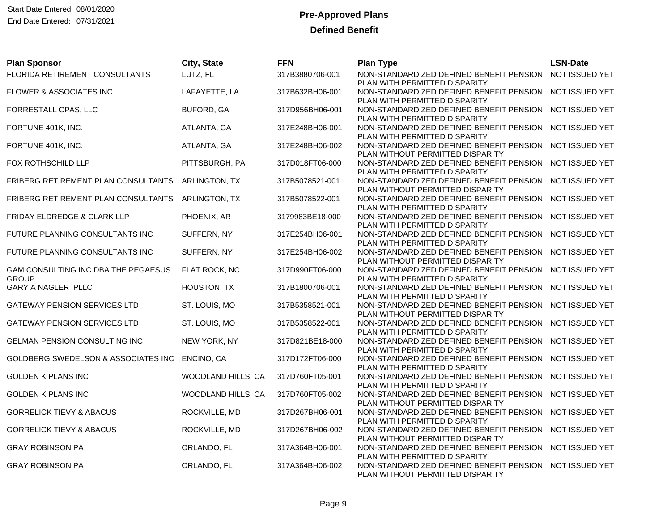| <b>Plan Sponsor</b>                 | City, State        | <b>FFN</b>      | <b>Plan Type</b>                                                                         | <b>LSN-Date</b> |
|-------------------------------------|--------------------|-----------------|------------------------------------------------------------------------------------------|-----------------|
| FLORIDA RETIREMENT CONSULTANTS      | LUTZ, FL           | 317B3880706-001 | NON-STANDARDIZED DEFINED BENEFIT PENSION                                                 | NOT ISSUED YET  |
|                                     |                    |                 | PLAN WITH PERMITTED DISPARITY                                                            |                 |
| FLOWER & ASSOCIATES INC             | LAFAYETTE, LA      | 317B632BH06-001 | NON-STANDARDIZED DEFINED BENEFIT PENSION<br>PLAN WITH PERMITTED DISPARITY                | NOT ISSUED YET  |
| FORRESTALL CPAS, LLC                | <b>BUFORD, GA</b>  | 317D956BH06-001 | NON-STANDARDIZED DEFINED BENEFIT PENSION NOT ISSUED YET                                  |                 |
|                                     |                    |                 | PLAN WITH PERMITTED DISPARITY                                                            |                 |
| FORTUNE 401K, INC.                  | ATLANTA, GA        | 317E248BH06-001 | NON-STANDARDIZED DEFINED BENEFIT PENSION                                                 | NOT ISSUED YET  |
|                                     |                    |                 | PLAN WITH PERMITTED DISPARITY                                                            |                 |
| FORTUNE 401K, INC.                  | ATLANTA, GA        | 317E248BH06-002 | NON-STANDARDIZED DEFINED BENEFIT PENSION                                                 | NOT ISSUED YET  |
|                                     |                    |                 | PLAN WITHOUT PERMITTED DISPARITY                                                         |                 |
| FOX ROTHSCHILD LLP                  | PITTSBURGH, PA     | 317D018FT06-000 | NON-STANDARDIZED DEFINED BENEFIT PENSION<br>PLAN WITH PERMITTED DISPARITY                | NOT ISSUED YET  |
| FRIBERG RETIREMENT PLAN CONSULTANTS | ARLINGTON, TX      | 317B5078521-001 | NON-STANDARDIZED DEFINED BENEFIT PENSION                                                 | NOT ISSUED YET  |
|                                     |                    |                 | PLAN WITHOUT PERMITTED DISPARITY                                                         |                 |
| FRIBERG RETIREMENT PLAN CONSULTANTS | ARLINGTON, TX      | 317B5078522-001 | NON-STANDARDIZED DEFINED BENEFIT PENSION                                                 | NOT ISSUED YET  |
|                                     |                    |                 | PLAN WITH PERMITTED DISPARITY                                                            |                 |
| FRIDAY ELDREDGE & CLARK LLP         | PHOENIX, AR        | 3179983BE18-000 | NON-STANDARDIZED DEFINED BENEFIT PENSION                                                 | NOT ISSUED YET  |
|                                     |                    |                 | PLAN WITH PERMITTED DISPARITY                                                            |                 |
| FUTURE PLANNING CONSULTANTS INC     | SUFFERN, NY        | 317E254BH06-001 | NON-STANDARDIZED DEFINED BENEFIT PENSION                                                 | NOT ISSUED YET  |
| FUTURE PLANNING CONSULTANTS INC     | SUFFERN, NY        | 317E254BH06-002 | PLAN WITH PERMITTED DISPARITY<br>NON-STANDARDIZED DEFINED BENEFIT PENSION                | NOT ISSUED YET  |
|                                     |                    |                 | PLAN WITHOUT PERMITTED DISPARITY                                                         |                 |
| GAM CONSULTING INC DBA THE PEGAESUS | FLAT ROCK, NC      | 317D990FT06-000 | NON-STANDARDIZED DEFINED BENEFIT PENSION                                                 | NOT ISSUED YET  |
| <b>GROUP</b>                        |                    |                 | PLAN WITH PERMITTED DISPARITY                                                            |                 |
| GARY A NAGLER PLLC                  | HOUSTON, TX        | 317B1800706-001 | NON-STANDARDIZED DEFINED BENEFIT PENSION                                                 | NOT ISSUED YET  |
|                                     |                    |                 | PLAN WITH PERMITTED DISPARITY                                                            |                 |
| <b>GATEWAY PENSION SERVICES LTD</b> | ST. LOUIS, MO      | 317B5358521-001 | NON-STANDARDIZED DEFINED BENEFIT PENSION                                                 | NOT ISSUED YET  |
|                                     |                    |                 | PLAN WITHOUT PERMITTED DISPARITY                                                         |                 |
| <b>GATEWAY PENSION SERVICES LTD</b> | ST. LOUIS, MO      | 317B5358522-001 | NON-STANDARDIZED DEFINED BENEFIT PENSION NOT ISSUED YET<br>PLAN WITH PERMITTED DISPARITY |                 |
| GELMAN PENSION CONSULTING INC       | NEW YORK, NY       | 317D821BE18-000 | NON-STANDARDIZED DEFINED BENEFIT PENSION                                                 | NOT ISSUED YET  |
|                                     |                    |                 | PLAN WITH PERMITTED DISPARITY                                                            |                 |
| GOLDBERG SWEDELSON & ASSOCIATES INC | ENCINO, CA         | 317D172FT06-000 | NON-STANDARDIZED DEFINED BENEFIT PENSION                                                 | NOT ISSUED YET  |
|                                     |                    |                 | PLAN WITH PERMITTED DISPARITY                                                            |                 |
| <b>GOLDEN K PLANS INC</b>           | WOODLAND HILLS, CA | 317D760FT05-001 | NON-STANDARDIZED DEFINED BENEFIT PENSION                                                 | NOT ISSUED YET  |
|                                     |                    |                 | PLAN WITH PERMITTED DISPARITY                                                            |                 |
| <b>GOLDEN K PLANS INC</b>           | WOODLAND HILLS, CA | 317D760FT05-002 | NON-STANDARDIZED DEFINED BENEFIT PENSION<br>PLAN WITHOUT PERMITTED DISPARITY             | NOT ISSUED YET  |
| <b>GORRELICK TIEVY &amp; ABACUS</b> | ROCKVILLE, MD      | 317D267BH06-001 | NON-STANDARDIZED DEFINED BENEFIT PENSION NOT ISSUED YET                                  |                 |
|                                     |                    |                 | PLAN WITH PERMITTED DISPARITY                                                            |                 |
| <b>GORRELICK TIEVY &amp; ABACUS</b> | ROCKVILLE, MD      | 317D267BH06-002 | NON-STANDARDIZED DEFINED BENEFIT PENSION                                                 | NOT ISSUED YET  |
|                                     |                    |                 | PLAN WITHOUT PERMITTED DISPARITY                                                         |                 |
| <b>GRAY ROBINSON PA</b>             | ORLANDO, FL        | 317A364BH06-001 | NON-STANDARDIZED DEFINED BENEFIT PENSION NOT ISSUED YET                                  |                 |
|                                     |                    |                 | PLAN WITH PERMITTED DISPARITY                                                            |                 |
| <b>GRAY ROBINSON PA</b>             | ORLANDO, FL        | 317A364BH06-002 | NON-STANDARDIZED DEFINED BENEFIT PENSION<br>PLAN WITHOUT PERMITTED DISPARITY             | NOT ISSUED YET  |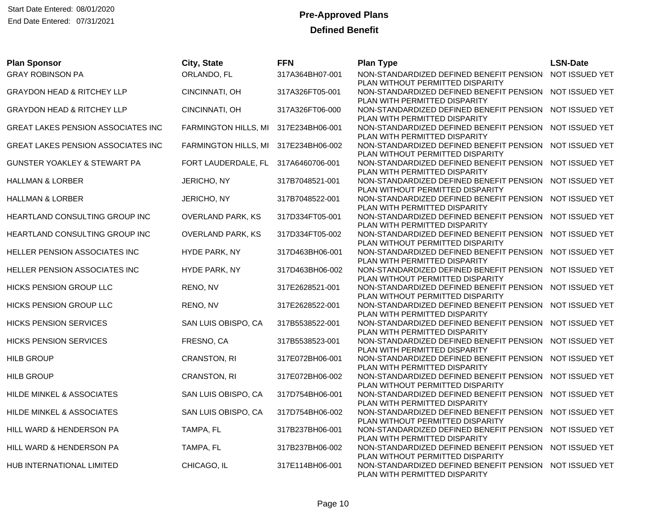| <b>Plan Sponsor</b>                       | City, State                         | <b>FFN</b>      | <b>Plan Type</b>                                                             | <b>LSN-Date</b> |
|-------------------------------------------|-------------------------------------|-----------------|------------------------------------------------------------------------------|-----------------|
| <b>GRAY ROBINSON PA</b>                   | ORLANDO, FL                         | 317A364BH07-001 | NON-STANDARDIZED DEFINED BENEFIT PENSION                                     | NOT ISSUED YET  |
|                                           |                                     |                 | PLAN WITHOUT PERMITTED DISPARITY                                             |                 |
| <b>GRAYDON HEAD &amp; RITCHEY LLP</b>     | CINCINNATI, OH                      | 317A326FT05-001 | NON-STANDARDIZED DEFINED BENEFIT PENSION<br>PLAN WITH PERMITTED DISPARITY    | NOT ISSUED YET  |
| <b>GRAYDON HEAD &amp; RITCHEY LLP</b>     | CINCINNATI, OH                      | 317A326FT06-000 | NON-STANDARDIZED DEFINED BENEFIT PENSION NOT ISSUED YET                      |                 |
|                                           |                                     |                 | PLAN WITH PERMITTED DISPARITY                                                |                 |
| <b>GREAT LAKES PENSION ASSOCIATES INC</b> | FARMINGTON HILLS, MI                | 317E234BH06-001 | NON-STANDARDIZED DEFINED BENEFIT PENSION                                     | NOT ISSUED YET  |
|                                           |                                     |                 | PLAN WITH PERMITTED DISPARITY                                                |                 |
| GREAT LAKES PENSION ASSOCIATES INC        | FARMINGTON HILLS, MI                | 317E234BH06-002 | NON-STANDARDIZED DEFINED BENEFIT PENSION                                     | NOT ISSUED YET  |
|                                           |                                     |                 | PLAN WITHOUT PERMITTED DISPARITY                                             |                 |
| GUNSTER YOAKLEY & STEWART PA              | FORT LAUDERDALE, FL 317A6460706-001 |                 | NON-STANDARDIZED DEFINED BENEFIT PENSION                                     | NOT ISSUED YET  |
|                                           |                                     |                 | PLAN WITH PERMITTED DISPARITY                                                |                 |
| <b>HALLMAN &amp; LORBER</b>               | JERICHO, NY                         | 317B7048521-001 | NON-STANDARDIZED DEFINED BENEFIT PENSION                                     | NOT ISSUED YET  |
|                                           | JERICHO, NY                         |                 | PLAN WITHOUT PERMITTED DISPARITY<br>NON-STANDARDIZED DEFINED BENEFIT PENSION | NOT ISSUED YET  |
| <b>HALLMAN &amp; LORBER</b>               |                                     | 317B7048522-001 | PLAN WITH PERMITTED DISPARITY                                                |                 |
| HEARTLAND CONSULTING GROUP INC            | OVERLAND PARK, KS                   | 317D334FT05-001 | NON-STANDARDIZED DEFINED BENEFIT PENSION                                     | NOT ISSUED YET  |
|                                           |                                     |                 | PLAN WITH PERMITTED DISPARITY                                                |                 |
| HEARTLAND CONSULTING GROUP INC            | <b>OVERLAND PARK, KS</b>            | 317D334FT05-002 | NON-STANDARDIZED DEFINED BENEFIT PENSION                                     | NOT ISSUED YET  |
|                                           |                                     |                 | PLAN WITHOUT PERMITTED DISPARITY                                             |                 |
| HELLER PENSION ASSOCIATES INC             | HYDE PARK, NY                       | 317D463BH06-001 | NON-STANDARDIZED DEFINED BENEFIT PENSION                                     | NOT ISSUED YET  |
|                                           |                                     |                 | PLAN WITH PERMITTED DISPARITY                                                |                 |
| HELLER PENSION ASSOCIATES INC             | HYDE PARK, NY                       | 317D463BH06-002 | NON-STANDARDIZED DEFINED BENEFIT PENSION                                     | NOT ISSUED YET  |
|                                           |                                     |                 | PLAN WITHOUT PERMITTED DISPARITY                                             |                 |
| HICKS PENSION GROUP LLC                   | RENO, NV                            | 317E2628521-001 | NON-STANDARDIZED DEFINED BENEFIT PENSION                                     | NOT ISSUED YET  |
| HICKS PENSION GROUP LLC                   | RENO, NV                            | 317E2628522-001 | PLAN WITHOUT PERMITTED DISPARITY<br>NON-STANDARDIZED DEFINED BENEFIT PENSION | NOT ISSUED YET  |
|                                           |                                     |                 | PLAN WITH PERMITTED DISPARITY                                                |                 |
| <b>HICKS PENSION SERVICES</b>             | SAN LUIS OBISPO, CA                 | 317B5538522-001 | NON-STANDARDIZED DEFINED BENEFIT PENSION                                     | NOT ISSUED YET  |
|                                           |                                     |                 | PLAN WITH PERMITTED DISPARITY                                                |                 |
| <b>HICKS PENSION SERVICES</b>             | FRESNO, CA                          | 317B5538523-001 | NON-STANDARDIZED DEFINED BENEFIT PENSION                                     | NOT ISSUED YET  |
|                                           |                                     |                 | PLAN WITH PERMITTED DISPARITY                                                |                 |
| <b>HILB GROUP</b>                         | CRANSTON, RI                        | 317E072BH06-001 | NON-STANDARDIZED DEFINED BENEFIT PENSION                                     | NOT ISSUED YET  |
|                                           |                                     |                 | PLAN WITH PERMITTED DISPARITY                                                |                 |
| <b>HILB GROUP</b>                         | CRANSTON, RI                        | 317E072BH06-002 | NON-STANDARDIZED DEFINED BENEFIT PENSION                                     | NOT ISSUED YET  |
|                                           |                                     |                 | PLAN WITHOUT PERMITTED DISPARITY                                             |                 |
| HILDE MINKEL & ASSOCIATES                 | SAN LUIS OBISPO, CA                 | 317D754BH06-001 | NON-STANDARDIZED DEFINED BENEFIT PENSION<br>PLAN WITH PERMITTED DISPARITY    | NOT ISSUED YET  |
| HILDE MINKEL & ASSOCIATES                 | SAN LUIS OBISPO, CA                 | 317D754BH06-002 | NON-STANDARDIZED DEFINED BENEFIT PENSION                                     | NOT ISSUED YET  |
|                                           |                                     |                 | PLAN WITHOUT PERMITTED DISPARITY                                             |                 |
| HILL WARD & HENDERSON PA                  | TAMPA, FL                           | 317B237BH06-001 | NON-STANDARDIZED DEFINED BENEFIT PENSION                                     | NOT ISSUED YET  |
|                                           |                                     |                 | PLAN WITH PERMITTED DISPARITY                                                |                 |
| HILL WARD & HENDERSON PA                  | TAMPA, FL                           | 317B237BH06-002 | NON-STANDARDIZED DEFINED BENEFIT PENSION                                     | NOT ISSUED YET  |
|                                           |                                     |                 | PLAN WITHOUT PERMITTED DISPARITY                                             |                 |
| <b>HUB INTERNATIONAL LIMITED</b>          | CHICAGO, IL                         | 317E114BH06-001 | NON-STANDARDIZED DEFINED BENEFIT PENSION                                     | NOT ISSUED YET  |
|                                           |                                     |                 | PLAN WITH PERMITTED DISPARITY                                                |                 |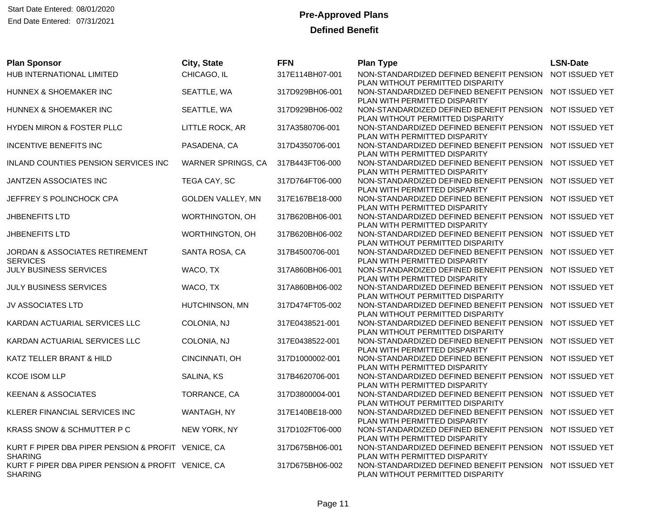| HUB INTERNATIONAL LIMITED<br>CHICAGO, IL<br>NOT ISSUED YET<br>317E114BH07-001<br>NON-STANDARDIZED DEFINED BENEFIT PENSION                                                                                                                    |  |
|----------------------------------------------------------------------------------------------------------------------------------------------------------------------------------------------------------------------------------------------|--|
| PLAN WITHOUT PERMITTED DISPARITY                                                                                                                                                                                                             |  |
| NOT ISSUED YET<br>HUNNEX & SHOEMAKER INC<br>SEATTLE, WA<br>317D929BH06-001<br>NON-STANDARDIZED DEFINED BENEFIT PENSION<br>PLAN WITH PERMITTED DISPARITY                                                                                      |  |
| SEATTLE, WA<br>NON-STANDARDIZED DEFINED BENEFIT PENSION<br>NOT ISSUED YET<br>HUNNEX & SHOEMAKER INC<br>317D929BH06-002<br>PLAN WITHOUT PERMITTED DISPARITY                                                                                   |  |
| NOT ISSUED YET<br>HYDEN MIRON & FOSTER PLLC<br>LITTLE ROCK, AR<br>317A3580706-001<br>NON-STANDARDIZED DEFINED BENEFIT PENSION<br>PLAN WITH PERMITTED DISPARITY                                                                               |  |
| PASADENA, CA<br>NOT ISSUED YET<br><b>INCENTIVE BENEFITS INC</b><br>317D4350706-001<br>NON-STANDARDIZED DEFINED BENEFIT PENSION                                                                                                               |  |
| PLAN WITH PERMITTED DISPARITY<br>NOT ISSUED YET<br>INLAND COUNTIES PENSION SERVICES INC<br>WARNER SPRINGS, CA<br>317B443FT06-000<br>NON-STANDARDIZED DEFINED BENEFIT PENSION<br>PLAN WITH PERMITTED DISPARITY                                |  |
| TEGA CAY, SC<br>NOT ISSUED YET<br>JANTZEN ASSOCIATES INC<br>317D764FT06-000<br>NON-STANDARDIZED DEFINED BENEFIT PENSION                                                                                                                      |  |
| PLAN WITH PERMITTED DISPARITY<br>NON-STANDARDIZED DEFINED BENEFIT PENSION<br>NOT ISSUED YET<br>JEFFREY S POLINCHOCK CPA<br>GOLDEN VALLEY, MN<br>317E167BE18-000                                                                              |  |
| PLAN WITH PERMITTED DISPARITY<br>NOT ISSUED YET<br>JHBENEFITS LTD<br>WORTHINGTON, OH<br>317B620BH06-001<br>NON-STANDARDIZED DEFINED BENEFIT PENSION                                                                                          |  |
| PLAN WITH PERMITTED DISPARITY<br>JHBENEFITS LTD<br>WORTHINGTON, OH<br>NOT ISSUED YET<br>317B620BH06-002<br>NON-STANDARDIZED DEFINED BENEFIT PENSION                                                                                          |  |
| PLAN WITHOUT PERMITTED DISPARITY<br>SANTA ROSA, CA<br>NOT ISSUED YET<br>JORDAN & ASSOCIATES RETIREMENT<br>317B4500706-001<br>NON-STANDARDIZED DEFINED BENEFIT PENSION                                                                        |  |
| <b>SERVICES</b><br>PLAN WITH PERMITTED DISPARITY<br>JULY BUSINESS SERVICES<br>WACO, TX<br>NOT ISSUED YET<br>317A860BH06-001<br>NON-STANDARDIZED DEFINED BENEFIT PENSION                                                                      |  |
| PLAN WITH PERMITTED DISPARITY<br>JULY BUSINESS SERVICES<br>WACO, TX<br>317A860BH06-002<br>NON-STANDARDIZED DEFINED BENEFIT PENSION<br>NOT ISSUED YET                                                                                         |  |
| PLAN WITHOUT PERMITTED DISPARITY<br>HUTCHINSON, MN<br>NOT ISSUED YET<br>JV ASSOCIATES LTD<br>317D474FT05-002<br>NON-STANDARDIZED DEFINED BENEFIT PENSION                                                                                     |  |
| PLAN WITHOUT PERMITTED DISPARITY<br>COLONIA, NJ<br>317E0438521-001<br>NON-STANDARDIZED DEFINED BENEFIT PENSION<br>NOT ISSUED YET<br>KARDAN ACTUARIAL SERVICES LLC                                                                            |  |
| PLAN WITHOUT PERMITTED DISPARITY<br>KARDAN ACTUARIAL SERVICES LLC<br>COLONIA, NJ<br>317E0438522-001<br>NOT ISSUED YET<br>NON-STANDARDIZED DEFINED BENEFIT PENSION                                                                            |  |
| PLAN WITH PERMITTED DISPARITY<br>KATZ TELLER BRANT & HILD<br>CINCINNATI, OH<br>317D1000002-001<br>NON-STANDARDIZED DEFINED BENEFIT PENSION<br>NOT ISSUED YET                                                                                 |  |
| PLAN WITH PERMITTED DISPARITY<br>NOT ISSUED YET<br><b>KCOE ISOM LLP</b><br>SALINA, KS<br>317B4620706-001<br>NON-STANDARDIZED DEFINED BENEFIT PENSION                                                                                         |  |
| PLAN WITH PERMITTED DISPARITY<br>NON-STANDARDIZED DEFINED BENEFIT PENSION<br>NOT ISSUED YET<br><b>KEENAN &amp; ASSOCIATES</b><br>TORRANCE, CA<br>317D3800004-001                                                                             |  |
| PLAN WITHOUT PERMITTED DISPARITY<br>NOT ISSUED YET<br>KLERER FINANCIAL SERVICES INC<br>WANTAGH, NY<br>317E140BE18-000<br>NON-STANDARDIZED DEFINED BENEFIT PENSION                                                                            |  |
| PLAN WITH PERMITTED DISPARITY<br>NEW YORK, NY<br>317D102FT06-000<br>NON-STANDARDIZED DEFINED BENEFIT PENSION<br>NOT ISSUED YET<br>KRASS SNOW & SCHMUTTER P C                                                                                 |  |
| PLAN WITH PERMITTED DISPARITY<br>KURT F PIPER DBA PIPER PENSION & PROFIT VENICE, CA<br>317D675BH06-001<br>NON-STANDARDIZED DEFINED BENEFIT PENSION<br>NOT ISSUED YET                                                                         |  |
| <b>SHARING</b><br>PLAN WITH PERMITTED DISPARITY<br>KURT F PIPER DBA PIPER PENSION & PROFIT VENICE, CA<br>317D675BH06-002<br>NOT ISSUED YET<br>NON-STANDARDIZED DEFINED BENEFIT PENSION<br>PLAN WITHOUT PERMITTED DISPARITY<br><b>SHARING</b> |  |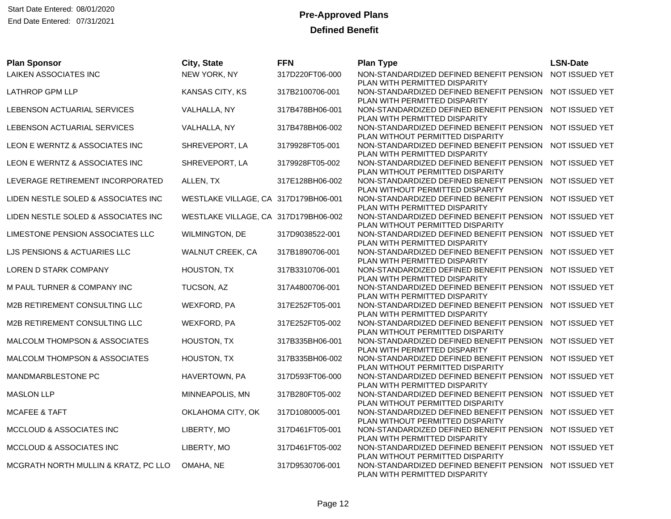| <b>Plan Sponsor</b>                  | City, State                          | <b>FFN</b>      | <b>Plan Type</b>                                                             | <b>LSN-Date</b> |
|--------------------------------------|--------------------------------------|-----------------|------------------------------------------------------------------------------|-----------------|
| <b>LAIKEN ASSOCIATES INC</b>         | NEW YORK, NY                         | 317D220FT06-000 | NON-STANDARDIZED DEFINED BENEFIT PENSION<br>PLAN WITH PERMITTED DISPARITY    | NOT ISSUED YET  |
| LATHROP GPM LLP                      | KANSAS CITY, KS                      | 317B2100706-001 | NON-STANDARDIZED DEFINED BENEFIT PENSION<br>PLAN WITH PERMITTED DISPARITY    | NOT ISSUED YET  |
| LEBENSON ACTUARIAL SERVICES          | VALHALLA, NY                         | 317B478BH06-001 | NON-STANDARDIZED DEFINED BENEFIT PENSION                                     | NOT ISSUED YET  |
| LEBENSON ACTUARIAL SERVICES          | VALHALLA, NY                         | 317B478BH06-002 | PLAN WITH PERMITTED DISPARITY<br>NON-STANDARDIZED DEFINED BENEFIT PENSION    | NOT ISSUED YET  |
| LEON E WERNTZ & ASSOCIATES INC       | SHREVEPORT, LA                       | 3179928FT05-001 | PLAN WITHOUT PERMITTED DISPARITY<br>NON-STANDARDIZED DEFINED BENEFIT PENSION | NOT ISSUED YET  |
| LEON E WERNTZ & ASSOCIATES INC       | SHREVEPORT, LA                       | 3179928FT05-002 | PLAN WITH PERMITTED DISPARITY<br>NON-STANDARDIZED DEFINED BENEFIT PENSION    | NOT ISSUED YET  |
| LEVERAGE RETIREMENT INCORPORATED     | ALLEN, TX                            | 317E128BH06-002 | PLAN WITHOUT PERMITTED DISPARITY<br>NON-STANDARDIZED DEFINED BENEFIT PENSION | NOT ISSUED YET  |
| LIDEN NESTLE SOLED & ASSOCIATES INC  | WESTLAKE VILLAGE, CA 317D179BH06-001 |                 | PLAN WITHOUT PERMITTED DISPARITY<br>NON-STANDARDIZED DEFINED BENEFIT PENSION | NOT ISSUED YET  |
| LIDEN NESTLE SOLED & ASSOCIATES INC  | WESTLAKE VILLAGE, CA 317D179BH06-002 |                 | PLAN WITH PERMITTED DISPARITY<br>NON-STANDARDIZED DEFINED BENEFIT PENSION    | NOT ISSUED YET  |
| LIMESTONE PENSION ASSOCIATES LLC     | WILMINGTON, DE                       | 317D9038522-001 | PLAN WITHOUT PERMITTED DISPARITY<br>NON-STANDARDIZED DEFINED BENEFIT PENSION | NOT ISSUED YET  |
| LJS PENSIONS & ACTUARIES LLC         | WALNUT CREEK, CA                     | 317B1890706-001 | PLAN WITH PERMITTED DISPARITY<br>NON-STANDARDIZED DEFINED BENEFIT PENSION    | NOT ISSUED YET  |
| LOREN D STARK COMPANY                | HOUSTON, TX                          | 317B3310706-001 | PLAN WITH PERMITTED DISPARITY<br>NON-STANDARDIZED DEFINED BENEFIT PENSION    | NOT ISSUED YET  |
| M PAUL TURNER & COMPANY INC          | TUCSON, AZ                           | 317A4800706-001 | PLAN WITH PERMITTED DISPARITY<br>NON-STANDARDIZED DEFINED BENEFIT PENSION    | NOT ISSUED YET  |
| M2B RETIREMENT CONSULTING LLC        | WEXFORD, PA                          | 317E252FT05-001 | PLAN WITH PERMITTED DISPARITY<br>NON-STANDARDIZED DEFINED BENEFIT PENSION    | NOT ISSUED YET  |
| M2B RETIREMENT CONSULTING LLC        | WEXFORD, PA                          | 317E252FT05-002 | PLAN WITH PERMITTED DISPARITY<br>NON-STANDARDIZED DEFINED BENEFIT PENSION    | NOT ISSUED YET  |
| MALCOLM THOMPSON & ASSOCIATES        | HOUSTON, TX                          | 317B335BH06-001 | PLAN WITHOUT PERMITTED DISPARITY<br>NON-STANDARDIZED DEFINED BENEFIT PENSION | NOT ISSUED YET  |
| MALCOLM THOMPSON & ASSOCIATES        | HOUSTON, TX                          | 317B335BH06-002 | PLAN WITH PERMITTED DISPARITY<br>NON-STANDARDIZED DEFINED BENEFIT PENSION    | NOT ISSUED YET  |
|                                      |                                      |                 | PLAN WITHOUT PERMITTED DISPARITY                                             |                 |
| MANDMARBLESTONE PC                   | HAVERTOWN, PA                        | 317D593FT06-000 | NON-STANDARDIZED DEFINED BENEFIT PENSION<br>PLAN WITH PERMITTED DISPARITY    | NOT ISSUED YET  |
| <b>MASLON LLP</b>                    | MINNEAPOLIS, MN                      | 317B280FT05-002 | NON-STANDARDIZED DEFINED BENEFIT PENSION<br>PLAN WITHOUT PERMITTED DISPARITY | NOT ISSUED YET  |
| <b>MCAFEE &amp; TAFT</b>             | OKLAHOMA CITY, OK                    | 317D1080005-001 | NON-STANDARDIZED DEFINED BENEFIT PENSION<br>PLAN WITHOUT PERMITTED DISPARITY | NOT ISSUED YET  |
| MCCLOUD & ASSOCIATES INC             | LIBERTY, MO                          | 317D461FT05-001 | NON-STANDARDIZED DEFINED BENEFIT PENSION<br>PLAN WITH PERMITTED DISPARITY    | NOT ISSUED YET  |
| MCCLOUD & ASSOCIATES INC             | LIBERTY, MO                          | 317D461FT05-002 | NON-STANDARDIZED DEFINED BENEFIT PENSION<br>PLAN WITHOUT PERMITTED DISPARITY | NOT ISSUED YET  |
| MCGRATH NORTH MULLIN & KRATZ, PC LLO | OMAHA, NE                            | 317D9530706-001 | NON-STANDARDIZED DEFINED BENEFIT PENSION<br>PLAN WITH PERMITTED DISPARITY    | NOT ISSUED YET  |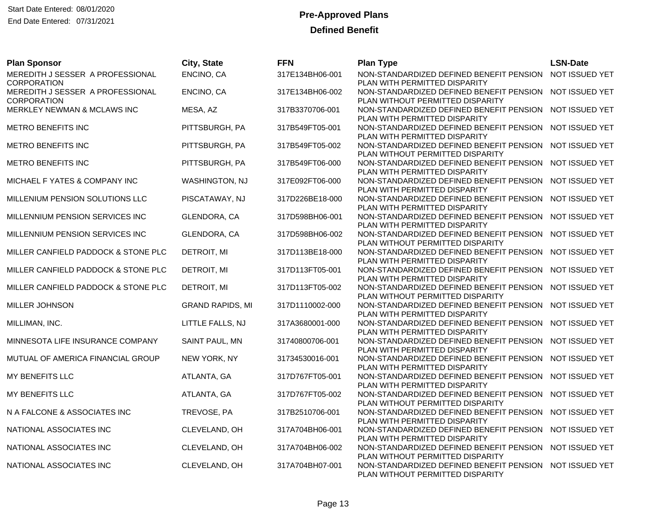| <b>Plan Sponsor</b>                                    | City, State             | <b>FFN</b>      | <b>Plan Type</b>                                                                            | <b>LSN-Date</b> |
|--------------------------------------------------------|-------------------------|-----------------|---------------------------------------------------------------------------------------------|-----------------|
| MEREDITH J SESSER A PROFESSIONAL                       | ENCINO, CA              | 317E134BH06-001 | NON-STANDARDIZED DEFINED BENEFIT PENSION                                                    | NOT ISSUED YET  |
| <b>CORPORATION</b><br>MEREDITH J SESSER A PROFESSIONAL | ENCINO, CA              | 317E134BH06-002 | PLAN WITH PERMITTED DISPARITY<br>NON-STANDARDIZED DEFINED BENEFIT PENSION                   | NOT ISSUED YET  |
| <b>CORPORATION</b>                                     |                         |                 | PLAN WITHOUT PERMITTED DISPARITY                                                            |                 |
| MERKLEY NEWMAN & MCLAWS INC                            | MESA, AZ                | 317B3370706-001 | NON-STANDARDIZED DEFINED BENEFIT PENSION NOT ISSUED YET                                     |                 |
|                                                        |                         |                 | PLAN WITH PERMITTED DISPARITY                                                               |                 |
| METRO BENEFITS INC                                     | PITTSBURGH, PA          | 317B549FT05-001 | NON-STANDARDIZED DEFINED BENEFIT PENSION                                                    | NOT ISSUED YET  |
| METRO BENEFITS INC                                     | PITTSBURGH, PA          | 317B549FT05-002 | PLAN WITH PERMITTED DISPARITY<br>NON-STANDARDIZED DEFINED BENEFIT PENSION                   | NOT ISSUED YET  |
|                                                        |                         |                 | PLAN WITHOUT PERMITTED DISPARITY                                                            |                 |
| METRO BENEFITS INC                                     | PITTSBURGH, PA          | 317B549FT06-000 | NON-STANDARDIZED DEFINED BENEFIT PENSION NOT ISSUED YET                                     |                 |
|                                                        |                         |                 | PLAN WITH PERMITTED DISPARITY                                                               |                 |
| MICHAEL F YATES & COMPANY INC                          | <b>WASHINGTON, NJ</b>   | 317E092FT06-000 | NON-STANDARDIZED DEFINED BENEFIT PENSION                                                    | NOT ISSUED YET  |
| MILLENIUM PENSION SOLUTIONS LLC                        |                         |                 | PLAN WITH PERMITTED DISPARITY<br>NON-STANDARDIZED DEFINED BENEFIT PENSION NOT ISSUED YET    |                 |
|                                                        | PISCATAWAY, NJ          | 317D226BE18-000 | PLAN WITH PERMITTED DISPARITY                                                               |                 |
| MILLENNIUM PENSION SERVICES INC                        | GLENDORA, CA            | 317D598BH06-001 | NON-STANDARDIZED DEFINED BENEFIT PENSION                                                    | NOT ISSUED YET  |
|                                                        |                         |                 | PLAN WITH PERMITTED DISPARITY                                                               |                 |
| MILLENNIUM PENSION SERVICES INC                        | GLENDORA, CA            | 317D598BH06-002 | NON-STANDARDIZED DEFINED BENEFIT PENSION NOT ISSUED YET                                     |                 |
|                                                        |                         |                 | PLAN WITHOUT PERMITTED DISPARITY                                                            |                 |
| MILLER CANFIELD PADDOCK & STONE PLC                    | DETROIT, MI             | 317D113BE18-000 | NON-STANDARDIZED DEFINED BENEFIT PENSION<br>PLAN WITH PERMITTED DISPARITY                   | NOT ISSUED YET  |
| MILLER CANFIELD PADDOCK & STONE PLC                    | DETROIT, MI             | 317D113FT05-001 | NON-STANDARDIZED DEFINED BENEFIT PENSION                                                    | NOT ISSUED YET  |
|                                                        |                         |                 | PLAN WITH PERMITTED DISPARITY                                                               |                 |
| MILLER CANFIELD PADDOCK & STONE PLC                    | DETROIT, MI             | 317D113FT05-002 | NON-STANDARDIZED DEFINED BENEFIT PENSION NOT ISSUED YET                                     |                 |
|                                                        |                         |                 | PLAN WITHOUT PERMITTED DISPARITY                                                            |                 |
| MILLER JOHNSON                                         | <b>GRAND RAPIDS, MI</b> | 317D1110002-000 | NON-STANDARDIZED DEFINED BENEFIT PENSION<br>PLAN WITH PERMITTED DISPARITY                   | NOT ISSUED YET  |
| MILLIMAN, INC.                                         | LITTLE FALLS, NJ        | 317A3680001-000 | NON-STANDARDIZED DEFINED BENEFIT PENSION NOT ISSUED YET                                     |                 |
|                                                        |                         |                 | PLAN WITH PERMITTED DISPARITY                                                               |                 |
| MINNESOTA LIFE INSURANCE COMPANY                       | SAINT PAUL, MN          | 31740800706-001 | NON-STANDARDIZED DEFINED BENEFIT PENSION                                                    | NOT ISSUED YET  |
|                                                        |                         |                 | PLAN WITH PERMITTED DISPARITY                                                               |                 |
| MUTUAL OF AMERICA FINANCIAL GROUP                      | NEW YORK, NY            | 31734530016-001 | NON-STANDARDIZED DEFINED BENEFIT PENSION<br>PLAN WITH PERMITTED DISPARITY                   | NOT ISSUED YET  |
| MY BENEFITS LLC                                        | ATLANTA, GA             | 317D767FT05-001 | NON-STANDARDIZED DEFINED BENEFIT PENSION                                                    | NOT ISSUED YET  |
|                                                        |                         |                 | PLAN WITH PERMITTED DISPARITY                                                               |                 |
| MY BENEFITS LLC                                        | ATLANTA, GA             | 317D767FT05-002 | NON-STANDARDIZED DEFINED BENEFIT PENSION                                                    | NOT ISSUED YET  |
|                                                        |                         |                 | PLAN WITHOUT PERMITTED DISPARITY                                                            |                 |
| N A FALCONE & ASSOCIATES INC                           | TREVOSE, PA             | 317B2510706-001 | NON-STANDARDIZED DEFINED BENEFIT PENSION NOT ISSUED YET<br>PLAN WITH PERMITTED DISPARITY    |                 |
| NATIONAL ASSOCIATES INC                                | CLEVELAND, OH           | 317A704BH06-001 | NON-STANDARDIZED DEFINED BENEFIT PENSION                                                    | NOT ISSUED YET  |
|                                                        |                         |                 | PLAN WITH PERMITTED DISPARITY                                                               |                 |
| NATIONAL ASSOCIATES INC                                | CLEVELAND, OH           | 317A704BH06-002 | NON-STANDARDIZED DEFINED BENEFIT PENSION NOT ISSUED YET                                     |                 |
|                                                        |                         |                 | PLAN WITHOUT PERMITTED DISPARITY                                                            |                 |
| NATIONAL ASSOCIATES INC                                | CLEVELAND, OH           | 317A704BH07-001 | NON-STANDARDIZED DEFINED BENEFIT PENSION NOT ISSUED YET<br>PLAN WITHOUT PERMITTED DISPARITY |                 |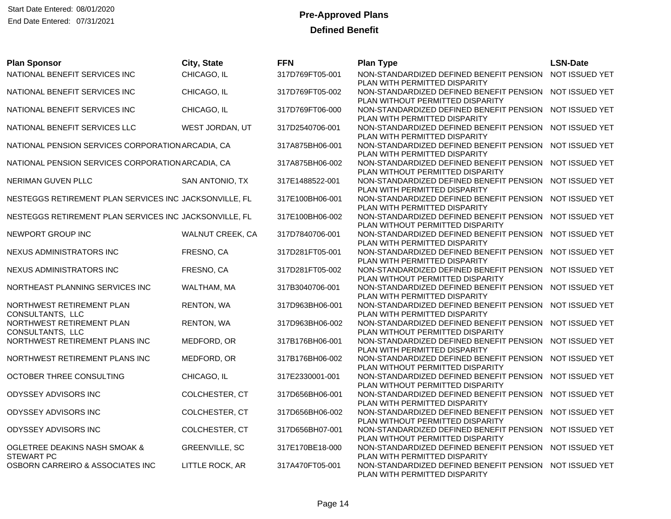| <b>Plan Sponsor</b>                                    | City, State           | <b>FFN</b>      | <b>Plan Type</b>                                                                                           | <b>LSN-Date</b> |
|--------------------------------------------------------|-----------------------|-----------------|------------------------------------------------------------------------------------------------------------|-----------------|
| NATIONAL BENEFIT SERVICES INC                          | CHICAGO, IL           | 317D769FT05-001 | NON-STANDARDIZED DEFINED BENEFIT PENSION<br>PLAN WITH PERMITTED DISPARITY                                  | NOT ISSUED YET  |
| NATIONAL BENEFIT SERVICES INC                          | CHICAGO, IL           | 317D769FT05-002 | NON-STANDARDIZED DEFINED BENEFIT PENSION<br>PLAN WITHOUT PERMITTED DISPARITY                               | NOT ISSUED YET  |
| NATIONAL BENEFIT SERVICES INC                          | CHICAGO, IL           | 317D769FT06-000 | NON-STANDARDIZED DEFINED BENEFIT PENSION<br>PLAN WITH PERMITTED DISPARITY                                  | NOT ISSUED YET  |
| NATIONAL BENEFIT SERVICES LLC                          | WEST JORDAN, UT       | 317D2540706-001 | NON-STANDARDIZED DEFINED BENEFIT PENSION<br>PLAN WITH PERMITTED DISPARITY                                  | NOT ISSUED YET  |
| NATIONAL PENSION SERVICES CORPORATION ARCADIA, CA      |                       | 317A875BH06-001 | NON-STANDARDIZED DEFINED BENEFIT PENSION<br>PLAN WITH PERMITTED DISPARITY                                  | NOT ISSUED YET  |
| NATIONAL PENSION SERVICES CORPORATION ARCADIA, CA      |                       | 317A875BH06-002 | NON-STANDARDIZED DEFINED BENEFIT PENSION<br>PLAN WITHOUT PERMITTED DISPARITY                               | NOT ISSUED YET  |
| NERIMAN GUVEN PLLC                                     | SAN ANTONIO, TX       | 317E1488522-001 | NON-STANDARDIZED DEFINED BENEFIT PENSION<br>PLAN WITH PERMITTED DISPARITY                                  | NOT ISSUED YET  |
| NESTEGGS RETIREMENT PLAN SERVICES INC JACKSONVILLE, FL |                       | 317E100BH06-001 | NON-STANDARDIZED DEFINED BENEFIT PENSION<br>PLAN WITH PERMITTED DISPARITY                                  | NOT ISSUED YET  |
| NESTEGGS RETIREMENT PLAN SERVICES INC JACKSONVILLE, FL |                       | 317E100BH06-002 | NON-STANDARDIZED DEFINED BENEFIT PENSION<br>PLAN WITHOUT PERMITTED DISPARITY                               | NOT ISSUED YET  |
| NEWPORT GROUP INC                                      | WALNUT CREEK, CA      | 317D7840706-001 | NON-STANDARDIZED DEFINED BENEFIT PENSION<br>PLAN WITH PERMITTED DISPARITY                                  | NOT ISSUED YET  |
| NEXUS ADMINISTRATORS INC                               | FRESNO, CA            | 317D281FT05-001 | NON-STANDARDIZED DEFINED BENEFIT PENSION<br>PLAN WITH PERMITTED DISPARITY                                  | NOT ISSUED YET  |
| NEXUS ADMINISTRATORS INC                               | FRESNO, CA            | 317D281FT05-002 | NON-STANDARDIZED DEFINED BENEFIT PENSION<br>PLAN WITHOUT PERMITTED DISPARITY                               | NOT ISSUED YET  |
| NORTHEAST PLANNING SERVICES INC                        | WALTHAM, MA           | 317B3040706-001 | NON-STANDARDIZED DEFINED BENEFIT PENSION<br>PLAN WITH PERMITTED DISPARITY                                  | NOT ISSUED YET  |
| NORTHWEST RETIREMENT PLAN<br>CONSULTANTS, LLC          | RENTON, WA            | 317D963BH06-001 | NON-STANDARDIZED DEFINED BENEFIT PENSION<br>PLAN WITH PERMITTED DISPARITY                                  | NOT ISSUED YET  |
| NORTHWEST RETIREMENT PLAN<br>CONSULTANTS, LLC          | RENTON, WA            | 317D963BH06-002 | NON-STANDARDIZED DEFINED BENEFIT PENSION<br>PLAN WITHOUT PERMITTED DISPARITY                               | NOT ISSUED YET  |
| NORTHWEST RETIREMENT PLANS INC                         | MEDFORD, OR           | 317B176BH06-001 | NON-STANDARDIZED DEFINED BENEFIT PENSION<br>PLAN WITH PERMITTED DISPARITY                                  | NOT ISSUED YET  |
| NORTHWEST RETIREMENT PLANS INC                         | MEDFORD, OR           | 317B176BH06-002 | NON-STANDARDIZED DEFINED BENEFIT PENSION<br>PLAN WITHOUT PERMITTED DISPARITY                               | NOT ISSUED YET  |
| OCTOBER THREE CONSULTING                               | CHICAGO, IL           | 317E2330001-001 | NON-STANDARDIZED DEFINED BENEFIT PENSION<br>PLAN WITHOUT PERMITTED DISPARITY                               | NOT ISSUED YET  |
| ODYSSEY ADVISORS INC                                   | COLCHESTER, CT        | 317D656BH06-001 | NON-STANDARDIZED DEFINED BENEFIT PENSION<br>PLAN WITH PERMITTED DISPARITY                                  | NOT ISSUED YET  |
| ODYSSEY ADVISORS INC                                   | COLCHESTER, CT        | 317D656BH06-002 | NON-STANDARDIZED DEFINED BENEFIT PENSION<br>PLAN WITHOUT PERMITTED DISPARITY                               | NOT ISSUED YET  |
| ODYSSEY ADVISORS INC                                   | COLCHESTER, CT        | 317D656BH07-001 | NON-STANDARDIZED DEFINED BENEFIT PENSION                                                                   | NOT ISSUED YET  |
| OGLETREE DEAKINS NASH SMOAK &                          | <b>GREENVILLE, SC</b> | 317E170BE18-000 | PLAN WITHOUT PERMITTED DISPARITY<br>NON-STANDARDIZED DEFINED BENEFIT PENSION NOT ISSUED YET                |                 |
| <b>STEWART PC</b><br>OSBORN CARREIRO & ASSOCIATES INC  | LITTLE ROCK, AR       | 317A470FT05-001 | PLAN WITH PERMITTED DISPARITY<br>NON-STANDARDIZED DEFINED BENEFIT PENSION<br>PLAN WITH PERMITTED DISPARITY | NOT ISSUED YET  |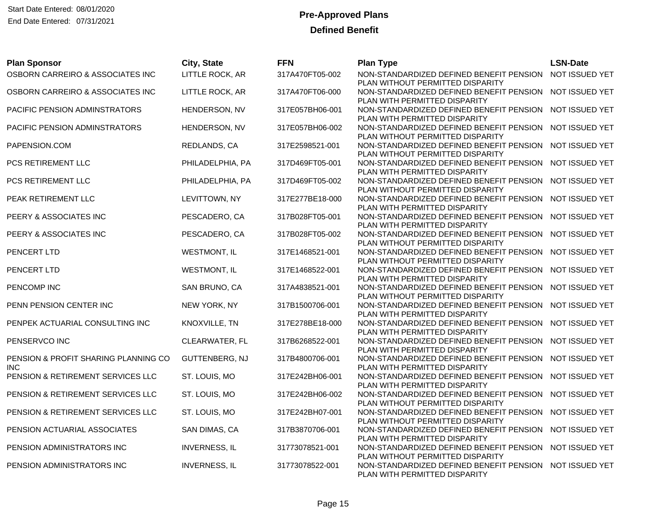| <b>Plan Sponsor</b>                                | City, State          | <b>FFN</b>      | <b>Plan Type</b>                                                                            | <b>LSN-Date</b> |
|----------------------------------------------------|----------------------|-----------------|---------------------------------------------------------------------------------------------|-----------------|
| OSBORN CARREIRO & ASSOCIATES INC                   | LITTLE ROCK, AR      | 317A470FT05-002 | NON-STANDARDIZED DEFINED BENEFIT PENSION<br>PLAN WITHOUT PERMITTED DISPARITY                | NOT ISSUED YET  |
| OSBORN CARREIRO & ASSOCIATES INC                   | LITTLE ROCK, AR      | 317A470FT06-000 | NON-STANDARDIZED DEFINED BENEFIT PENSION NOT ISSUED YET<br>PLAN WITH PERMITTED DISPARITY    |                 |
| PACIFIC PENSION ADMINSTRATORS                      | HENDERSON, NV        | 317E057BH06-001 | NON-STANDARDIZED DEFINED BENEFIT PENSION NOT ISSUED YET<br>PLAN WITH PERMITTED DISPARITY    |                 |
| PACIFIC PENSION ADMINSTRATORS                      | HENDERSON, NV        | 317E057BH06-002 | NON-STANDARDIZED DEFINED BENEFIT PENSION<br>PLAN WITHOUT PERMITTED DISPARITY                | NOT ISSUED YET  |
| PAPENSION.COM                                      | REDLANDS, CA         | 317E2598521-001 | NON-STANDARDIZED DEFINED BENEFIT PENSION NOT ISSUED YET<br>PLAN WITHOUT PERMITTED DISPARITY |                 |
| PCS RETIREMENT LLC                                 | PHILADELPHIA, PA     | 317D469FT05-001 | NON-STANDARDIZED DEFINED BENEFIT PENSION NOT ISSUED YET<br>PLAN WITH PERMITTED DISPARITY    |                 |
| PCS RETIREMENT LLC                                 | PHILADELPHIA, PA     | 317D469FT05-002 | NON-STANDARDIZED DEFINED BENEFIT PENSION<br>PLAN WITHOUT PERMITTED DISPARITY                | NOT ISSUED YET  |
| <b>PEAK RETIREMENT LLC</b>                         | LEVITTOWN, NY        | 317E277BE18-000 | NON-STANDARDIZED DEFINED BENEFIT PENSION NOT ISSUED YET<br>PLAN WITH PERMITTED DISPARITY    |                 |
| PEERY & ASSOCIATES INC                             | PESCADERO, CA        | 317B028FT05-001 | NON-STANDARDIZED DEFINED BENEFIT PENSION<br>PLAN WITH PERMITTED DISPARITY                   | NOT ISSUED YET  |
| PEERY & ASSOCIATES INC                             | PESCADERO, CA        | 317B028FT05-002 | NON-STANDARDIZED DEFINED BENEFIT PENSION NOT ISSUED YET<br>PLAN WITHOUT PERMITTED DISPARITY |                 |
| PENCERT LTD                                        | <b>WESTMONT, IL</b>  | 317E1468521-001 | NON-STANDARDIZED DEFINED BENEFIT PENSION<br>PLAN WITHOUT PERMITTED DISPARITY                | NOT ISSUED YET  |
| PENCERT LTD                                        | <b>WESTMONT, IL</b>  | 317E1468522-001 | NON-STANDARDIZED DEFINED BENEFIT PENSION<br>PLAN WITH PERMITTED DISPARITY                   | NOT ISSUED YET  |
| PENCOMP INC                                        | SAN BRUNO, CA        | 317A4838521-001 | NON-STANDARDIZED DEFINED BENEFIT PENSION NOT ISSUED YET<br>PLAN WITHOUT PERMITTED DISPARITY |                 |
| PENN PENSION CENTER INC                            | NEW YORK, NY         | 317B1500706-001 | NON-STANDARDIZED DEFINED BENEFIT PENSION<br>PLAN WITH PERMITTED DISPARITY                   | NOT ISSUED YET  |
| PENPEK ACTUARIAL CONSULTING INC                    | KNOXVILLE, TN        | 317E278BE18-000 | NON-STANDARDIZED DEFINED BENEFIT PENSION NOT ISSUED YET<br>PLAN WITH PERMITTED DISPARITY    |                 |
| PENSERVCO INC                                      | CLEARWATER, FL       | 317B6268522-001 | NON-STANDARDIZED DEFINED BENEFIT PENSION<br>PLAN WITH PERMITTED DISPARITY                   | NOT ISSUED YET  |
| PENSION & PROFIT SHARING PLANNING CO<br><b>INC</b> | GUTTENBERG, NJ       | 317B4800706-001 | NON-STANDARDIZED DEFINED BENEFIT PENSION<br>PLAN WITH PERMITTED DISPARITY                   | NOT ISSUED YET  |
| PENSION & RETIREMENT SERVICES LLC                  | ST. LOUIS, MO        | 317E242BH06-001 | NON-STANDARDIZED DEFINED BENEFIT PENSION<br>PLAN WITH PERMITTED DISPARITY                   | NOT ISSUED YET  |
| PENSION & RETIREMENT SERVICES LLC                  | ST. LOUIS, MO        | 317E242BH06-002 | NON-STANDARDIZED DEFINED BENEFIT PENSION<br>PLAN WITHOUT PERMITTED DISPARITY                | NOT ISSUED YET  |
| PENSION & RETIREMENT SERVICES LLC                  | ST. LOUIS, MO        | 317E242BH07-001 | NON-STANDARDIZED DEFINED BENEFIT PENSION NOT ISSUED YET<br>PLAN WITHOUT PERMITTED DISPARITY |                 |
| PENSION ACTUARIAL ASSOCIATES                       | SAN DIMAS, CA        | 317B3870706-001 | NON-STANDARDIZED DEFINED BENEFIT PENSION<br>PLAN WITH PERMITTED DISPARITY                   | NOT ISSUED YET  |
| PENSION ADMINISTRATORS INC                         | <b>INVERNESS, IL</b> | 31773078521-001 | NON-STANDARDIZED DEFINED BENEFIT PENSION NOT ISSUED YET<br>PLAN WITHOUT PERMITTED DISPARITY |                 |
| PENSION ADMINISTRATORS INC                         | <b>INVERNESS, IL</b> | 31773078522-001 | NON-STANDARDIZED DEFINED BENEFIT PENSION NOT ISSUED YET<br>PLAN WITH PERMITTED DISPARITY    |                 |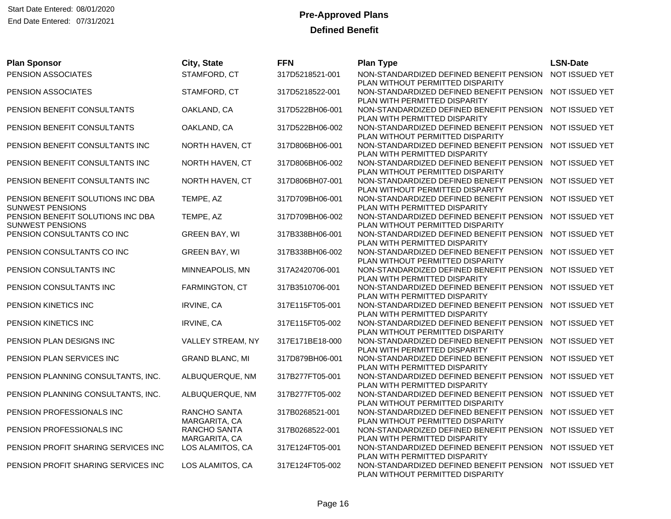| <b>Plan Sponsor</b>                                          | City, State                   | <b>FFN</b>      | <b>Plan Type</b>                                                                            | <b>LSN-Date</b> |
|--------------------------------------------------------------|-------------------------------|-----------------|---------------------------------------------------------------------------------------------|-----------------|
| PENSION ASSOCIATES                                           | STAMFORD, CT                  | 317D5218521-001 | NON-STANDARDIZED DEFINED BENEFIT PENSION<br>PLAN WITHOUT PERMITTED DISPARITY                | NOT ISSUED YET  |
| PENSION ASSOCIATES                                           | STAMFORD, CT                  | 317D5218522-001 | NON-STANDARDIZED DEFINED BENEFIT PENSION<br>PLAN WITH PERMITTED DISPARITY                   | NOT ISSUED YET  |
| PENSION BENEFIT CONSULTANTS                                  | OAKLAND, CA                   | 317D522BH06-001 | NON-STANDARDIZED DEFINED BENEFIT PENSION NOT ISSUED YET<br>PLAN WITH PERMITTED DISPARITY    |                 |
| PENSION BENEFIT CONSULTANTS                                  | OAKLAND, CA                   | 317D522BH06-002 | NON-STANDARDIZED DEFINED BENEFIT PENSION<br>PLAN WITHOUT PERMITTED DISPARITY                | NOT ISSUED YET  |
| PENSION BENEFIT CONSULTANTS INC                              | NORTH HAVEN, CT               | 317D806BH06-001 | NON-STANDARDIZED DEFINED BENEFIT PENSION<br>PLAN WITH PERMITTED DISPARITY                   | NOT ISSUED YET  |
| PENSION BENEFIT CONSULTANTS INC                              | NORTH HAVEN, CT               | 317D806BH06-002 | NON-STANDARDIZED DEFINED BENEFIT PENSION<br>PLAN WITHOUT PERMITTED DISPARITY                | NOT ISSUED YET  |
| PENSION BENEFIT CONSULTANTS INC                              | NORTH HAVEN, CT               | 317D806BH07-001 | NON-STANDARDIZED DEFINED BENEFIT PENSION<br>PLAN WITHOUT PERMITTED DISPARITY                | NOT ISSUED YET  |
| PENSION BENEFIT SOLUTIONS INC DBA<br><b>SUNWEST PENSIONS</b> | TEMPE, AZ                     | 317D709BH06-001 | NON-STANDARDIZED DEFINED BENEFIT PENSION NOT ISSUED YET<br>PLAN WITH PERMITTED DISPARITY    |                 |
| PENSION BENEFIT SOLUTIONS INC DBA<br><b>SUNWEST PENSIONS</b> | TEMPE, AZ                     | 317D709BH06-002 | NON-STANDARDIZED DEFINED BENEFIT PENSION<br>PLAN WITHOUT PERMITTED DISPARITY                | NOT ISSUED YET  |
| PENSION CONSULTANTS CO INC                                   | <b>GREEN BAY, WI</b>          | 317B338BH06-001 | NON-STANDARDIZED DEFINED BENEFIT PENSION NOT ISSUED YET<br>PLAN WITH PERMITTED DISPARITY    |                 |
| PENSION CONSULTANTS CO INC                                   | <b>GREEN BAY, WI</b>          | 317B338BH06-002 | NON-STANDARDIZED DEFINED BENEFIT PENSION<br>PLAN WITHOUT PERMITTED DISPARITY                | NOT ISSUED YET  |
| PENSION CONSULTANTS INC                                      | MINNEAPOLIS, MN               | 317A2420706-001 | NON-STANDARDIZED DEFINED BENEFIT PENSION<br>PLAN WITH PERMITTED DISPARITY                   | NOT ISSUED YET  |
| PENSION CONSULTANTS INC                                      | FARMINGTON, CT                | 317B3510706-001 | NON-STANDARDIZED DEFINED BENEFIT PENSION NOT ISSUED YET<br>PLAN WITH PERMITTED DISPARITY    |                 |
| PENSION KINETICS INC                                         | IRVINE, CA                    | 317E115FT05-001 | NON-STANDARDIZED DEFINED BENEFIT PENSION<br>PLAN WITH PERMITTED DISPARITY                   | NOT ISSUED YET  |
| PENSION KINETICS INC                                         | <b>IRVINE, CA</b>             | 317E115FT05-002 | NON-STANDARDIZED DEFINED BENEFIT PENSION NOT ISSUED YET<br>PLAN WITHOUT PERMITTED DISPARITY |                 |
| PENSION PLAN DESIGNS INC                                     | VALLEY STREAM, NY             | 317E171BE18-000 | NON-STANDARDIZED DEFINED BENEFIT PENSION<br>PLAN WITH PERMITTED DISPARITY                   | NOT ISSUED YET  |
| PENSION PLAN SERVICES INC                                    | <b>GRAND BLANC, MI</b>        | 317D879BH06-001 | NON-STANDARDIZED DEFINED BENEFIT PENSION<br>PLAN WITH PERMITTED DISPARITY                   | NOT ISSUED YET  |
| PENSION PLANNING CONSULTANTS, INC.                           | ALBUQUERQUE, NM               | 317B277FT05-001 | NON-STANDARDIZED DEFINED BENEFIT PENSION<br>PLAN WITH PERMITTED DISPARITY                   | NOT ISSUED YET  |
| PENSION PLANNING CONSULTANTS, INC.                           | ALBUQUERQUE, NM               | 317B277FT05-002 | NON-STANDARDIZED DEFINED BENEFIT PENSION<br>PLAN WITHOUT PERMITTED DISPARITY                | NOT ISSUED YET  |
| PENSION PROFESSIONALS INC                                    | RANCHO SANTA<br>MARGARITA, CA | 317B0268521-001 | NON-STANDARDIZED DEFINED BENEFIT PENSION NOT ISSUED YET<br>PLAN WITHOUT PERMITTED DISPARITY |                 |
| PENSION PROFESSIONALS INC                                    | RANCHO SANTA<br>MARGARITA, CA | 317B0268522-001 | NON-STANDARDIZED DEFINED BENEFIT PENSION<br>PLAN WITH PERMITTED DISPARITY                   | NOT ISSUED YET  |
| PENSION PROFIT SHARING SERVICES INC                          | LOS ALAMITOS, CA              | 317E124FT05-001 | NON-STANDARDIZED DEFINED BENEFIT PENSION NOT ISSUED YET<br>PLAN WITH PERMITTED DISPARITY    |                 |
| PENSION PROFIT SHARING SERVICES INC                          | LOS ALAMITOS, CA              | 317E124FT05-002 | NON-STANDARDIZED DEFINED BENEFIT PENSION<br>PLAN WITHOUT PERMITTED DISPARITY                | NOT ISSUED YET  |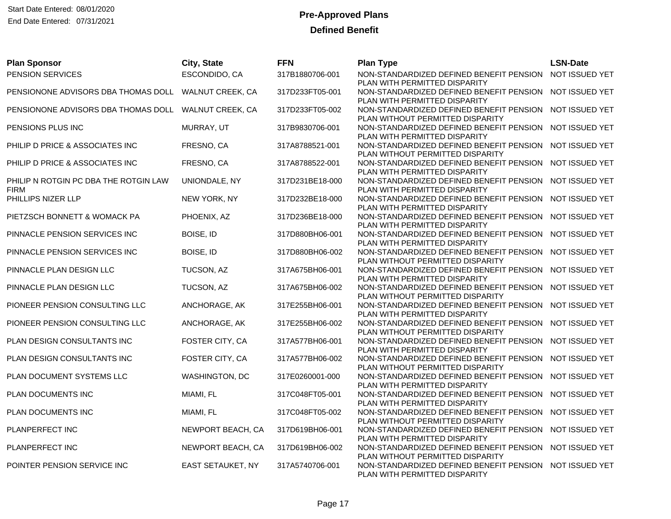| <b>Plan Sponsor</b>                                  | City, State       | <b>FFN</b>      | <b>Plan Type</b>                                                             | <b>LSN-Date</b> |
|------------------------------------------------------|-------------------|-----------------|------------------------------------------------------------------------------|-----------------|
| PENSION SERVICES                                     | ESCONDIDO, CA     | 317B1880706-001 | NON-STANDARDIZED DEFINED BENEFIT PENSION<br>PLAN WITH PERMITTED DISPARITY    | NOT ISSUED YET  |
| PENSIONONE ADVISORS DBA THOMAS DOLL                  | WALNUT CREEK, CA  | 317D233FT05-001 | NON-STANDARDIZED DEFINED BENEFIT PENSION<br>PLAN WITH PERMITTED DISPARITY    | NOT ISSUED YET  |
| PENSIONONE ADVISORS DBA THOMAS DOLL WALNUT CREEK, CA |                   | 317D233FT05-002 | NON-STANDARDIZED DEFINED BENEFIT PENSION<br>PLAN WITHOUT PERMITTED DISPARITY | NOT ISSUED YET  |
| PENSIONS PLUS INC                                    | MURRAY, UT        | 317B9830706-001 | NON-STANDARDIZED DEFINED BENEFIT PENSION<br>PLAN WITH PERMITTED DISPARITY    | NOT ISSUED YET  |
| PHILIP D PRICE & ASSOCIATES INC                      | FRESNO, CA        | 317A8788521-001 | NON-STANDARDIZED DEFINED BENEFIT PENSION<br>PLAN WITHOUT PERMITTED DISPARITY | NOT ISSUED YET  |
| PHILIP D PRICE & ASSOCIATES INC                      | FRESNO, CA        | 317A8788522-001 | NON-STANDARDIZED DEFINED BENEFIT PENSION<br>PLAN WITH PERMITTED DISPARITY    | NOT ISSUED YET  |
| PHILIP N ROTGIN PC DBA THE ROTGIN LAW<br><b>FIRM</b> | UNIONDALE, NY     | 317D231BE18-000 | NON-STANDARDIZED DEFINED BENEFIT PENSION<br>PLAN WITH PERMITTED DISPARITY    | NOT ISSUED YET  |
| PHILLIPS NIZER LLP                                   | NEW YORK, NY      | 317D232BE18-000 | NON-STANDARDIZED DEFINED BENEFIT PENSION<br>PLAN WITH PERMITTED DISPARITY    | NOT ISSUED YET  |
| PIETZSCH BONNETT & WOMACK PA                         | PHOENIX, AZ       | 317D236BE18-000 | NON-STANDARDIZED DEFINED BENEFIT PENSION<br>PLAN WITH PERMITTED DISPARITY    | NOT ISSUED YET  |
| PINNACLE PENSION SERVICES INC                        | BOISE, ID         | 317D880BH06-001 | NON-STANDARDIZED DEFINED BENEFIT PENSION<br>PLAN WITH PERMITTED DISPARITY    | NOT ISSUED YET  |
| PINNACLE PENSION SERVICES INC                        | BOISE, ID         | 317D880BH06-002 | NON-STANDARDIZED DEFINED BENEFIT PENSION<br>PLAN WITHOUT PERMITTED DISPARITY | NOT ISSUED YET  |
| PINNACLE PLAN DESIGN LLC                             | TUCSON, AZ        | 317A675BH06-001 | NON-STANDARDIZED DEFINED BENEFIT PENSION<br>PLAN WITH PERMITTED DISPARITY    | NOT ISSUED YET  |
| PINNACLE PLAN DESIGN LLC                             | TUCSON, AZ        | 317A675BH06-002 | NON-STANDARDIZED DEFINED BENEFIT PENSION<br>PLAN WITHOUT PERMITTED DISPARITY | NOT ISSUED YET  |
| PIONEER PENSION CONSULTING LLC                       | ANCHORAGE, AK     | 317E255BH06-001 | NON-STANDARDIZED DEFINED BENEFIT PENSION<br>PLAN WITH PERMITTED DISPARITY    | NOT ISSUED YET  |
| PIONEER PENSION CONSULTING LLC                       | ANCHORAGE, AK     | 317E255BH06-002 | NON-STANDARDIZED DEFINED BENEFIT PENSION<br>PLAN WITHOUT PERMITTED DISPARITY | NOT ISSUED YET  |
| PLAN DESIGN CONSULTANTS INC                          | FOSTER CITY, CA   | 317A577BH06-001 | NON-STANDARDIZED DEFINED BENEFIT PENSION<br>PLAN WITH PERMITTED DISPARITY    | NOT ISSUED YET  |
| PLAN DESIGN CONSULTANTS INC                          | FOSTER CITY, CA   | 317A577BH06-002 | NON-STANDARDIZED DEFINED BENEFIT PENSION<br>PLAN WITHOUT PERMITTED DISPARITY | NOT ISSUED YET  |
| PLAN DOCUMENT SYSTEMS LLC                            | WASHINGTON, DC    | 317E0260001-000 | NON-STANDARDIZED DEFINED BENEFIT PENSION<br>PLAN WITH PERMITTED DISPARITY    | NOT ISSUED YET  |
| PLAN DOCUMENTS INC                                   | MIAMI, FL         | 317C048FT05-001 | NON-STANDARDIZED DEFINED BENEFIT PENSION<br>PLAN WITH PERMITTED DISPARITY    | NOT ISSUED YET  |
| PLAN DOCUMENTS INC                                   | MIAMI, FL         | 317C048FT05-002 | NON-STANDARDIZED DEFINED BENEFIT PENSION<br>PLAN WITHOUT PERMITTED DISPARITY | NOT ISSUED YET  |
| PLANPERFECT INC                                      | NEWPORT BEACH, CA | 317D619BH06-001 | NON-STANDARDIZED DEFINED BENEFIT PENSION<br>PLAN WITH PERMITTED DISPARITY    | NOT ISSUED YET  |
| PLANPERFECT INC                                      | NEWPORT BEACH, CA | 317D619BH06-002 | NON-STANDARDIZED DEFINED BENEFIT PENSION<br>PLAN WITHOUT PERMITTED DISPARITY | NOT ISSUED YET  |
| POINTER PENSION SERVICE INC                          | EAST SETAUKET, NY | 317A5740706-001 | NON-STANDARDIZED DEFINED BENEFIT PENSION<br>PLAN WITH PERMITTED DISPARITY    | NOT ISSUED YET  |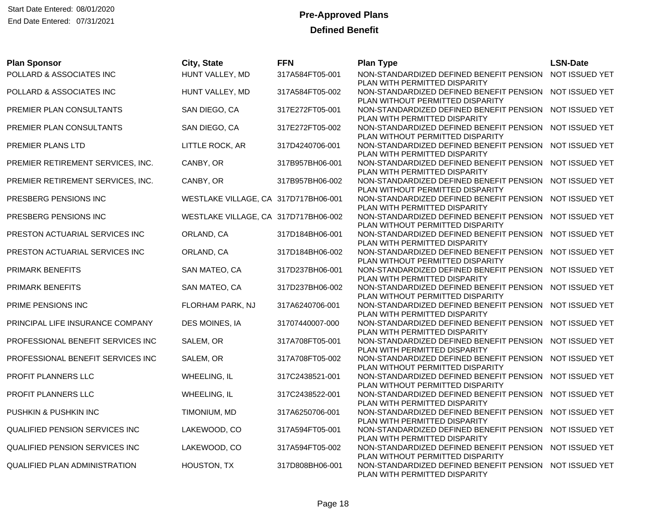| <b>Plan Sponsor</b>                  | City, State                          | <b>FFN</b>      | <b>Plan Type</b>                                                                                                             | <b>LSN-Date</b> |
|--------------------------------------|--------------------------------------|-----------------|------------------------------------------------------------------------------------------------------------------------------|-----------------|
| POLLARD & ASSOCIATES INC             | HUNT VALLEY, MD                      | 317A584FT05-001 | NON-STANDARDIZED DEFINED BENEFIT PENSION<br>PLAN WITH PERMITTED DISPARITY                                                    | NOT ISSUED YET  |
| POLLARD & ASSOCIATES INC             | HUNT VALLEY, MD                      | 317A584FT05-002 | NON-STANDARDIZED DEFINED BENEFIT PENSION NOT ISSUED YET<br>PLAN WITHOUT PERMITTED DISPARITY                                  |                 |
| PREMIER PLAN CONSULTANTS             | SAN DIEGO, CA                        | 317E272FT05-001 | NON-STANDARDIZED DEFINED BENEFIT PENSION NOT ISSUED YET<br>PLAN WITH PERMITTED DISPARITY                                     |                 |
| PREMIER PLAN CONSULTANTS             | SAN DIEGO, CA                        | 317E272FT05-002 | NON-STANDARDIZED DEFINED BENEFIT PENSION<br>PLAN WITHOUT PERMITTED DISPARITY                                                 | NOT ISSUED YET  |
| PREMIER PLANS LTD                    | LITTLE ROCK, AR                      | 317D4240706-001 | NON-STANDARDIZED DEFINED BENEFIT PENSION NOT ISSUED YET<br>PLAN WITH PERMITTED DISPARITY                                     |                 |
| PREMIER RETIREMENT SERVICES, INC.    | CANBY, OR                            | 317B957BH06-001 | NON-STANDARDIZED DEFINED BENEFIT PENSION NOT ISSUED YET<br>PLAN WITH PERMITTED DISPARITY                                     |                 |
| PREMIER RETIREMENT SERVICES, INC.    | CANBY, OR                            | 317B957BH06-002 | NON-STANDARDIZED DEFINED BENEFIT PENSION<br>PLAN WITHOUT PERMITTED DISPARITY                                                 | NOT ISSUED YET  |
| PRESBERG PENSIONS INC                | WESTLAKE VILLAGE, CA 317D717BH06-001 |                 | NON-STANDARDIZED DEFINED BENEFIT PENSION NOT ISSUED YET<br>PLAN WITH PERMITTED DISPARITY                                     |                 |
| PRESBERG PENSIONS INC                | WESTLAKE VILLAGE, CA 317D717BH06-002 |                 | NON-STANDARDIZED DEFINED BENEFIT PENSION NOT ISSUED YET<br>PLAN WITHOUT PERMITTED DISPARITY                                  |                 |
| PRESTON ACTUARIAL SERVICES INC       | ORLAND, CA                           | 317D184BH06-001 | NON-STANDARDIZED DEFINED BENEFIT PENSION NOT ISSUED YET<br>PLAN WITH PERMITTED DISPARITY                                     |                 |
| PRESTON ACTUARIAL SERVICES INC       | ORLAND, CA                           | 317D184BH06-002 | NON-STANDARDIZED DEFINED BENEFIT PENSION<br>PLAN WITHOUT PERMITTED DISPARITY                                                 | NOT ISSUED YET  |
| PRIMARK BENEFITS                     | SAN MATEO, CA                        | 317D237BH06-001 | NON-STANDARDIZED DEFINED BENEFIT PENSION<br>PLAN WITH PERMITTED DISPARITY                                                    | NOT ISSUED YET  |
| <b>PRIMARK BENEFITS</b>              | SAN MATEO, CA                        | 317D237BH06-002 | NON-STANDARDIZED DEFINED BENEFIT PENSION NOT ISSUED YET<br>PLAN WITHOUT PERMITTED DISPARITY                                  |                 |
| PRIME PENSIONS INC                   | FLORHAM PARK, NJ                     | 317A6240706-001 | NON-STANDARDIZED DEFINED BENEFIT PENSION<br>PLAN WITH PERMITTED DISPARITY                                                    | NOT ISSUED YET  |
| PRINCIPAL LIFE INSURANCE COMPANY     | DES MOINES, IA                       | 31707440007-000 | NON-STANDARDIZED DEFINED BENEFIT PENSION NOT ISSUED YET<br>PLAN WITH PERMITTED DISPARITY                                     |                 |
| PROFESSIONAL BENEFIT SERVICES INC    | SALEM, OR                            | 317A708FT05-001 | NON-STANDARDIZED DEFINED BENEFIT PENSION<br>PLAN WITH PERMITTED DISPARITY                                                    | NOT ISSUED YET  |
| PROFESSIONAL BENEFIT SERVICES INC    | SALEM, OR                            | 317A708FT05-002 | NON-STANDARDIZED DEFINED BENEFIT PENSION<br>PLAN WITHOUT PERMITTED DISPARITY                                                 | NOT ISSUED YET  |
| PROFIT PLANNERS LLC                  | WHEELING, IL                         | 317C2438521-001 | NON-STANDARDIZED DEFINED BENEFIT PENSION NOT ISSUED YET<br>PLAN WITHOUT PERMITTED DISPARITY                                  |                 |
| PROFIT PLANNERS LLC                  | WHEELING, IL                         | 317C2438522-001 | NON-STANDARDIZED DEFINED BENEFIT PENSION<br>PLAN WITH PERMITTED DISPARITY                                                    | NOT ISSUED YET  |
| PUSHKIN & PUSHKIN INC                | TIMONIUM, MD                         | 317A6250706-001 | NON-STANDARDIZED DEFINED BENEFIT PENSION NOT ISSUED YET<br>PLAN WITH PERMITTED DISPARITY                                     |                 |
| QUALIFIED PENSION SERVICES INC       | LAKEWOOD, CO                         | 317A594FT05-001 | NON-STANDARDIZED DEFINED BENEFIT PENSION<br>PLAN WITH PERMITTED DISPARITY                                                    | NOT ISSUED YET  |
| QUALIFIED PENSION SERVICES INC       | LAKEWOOD, CO                         | 317A594FT05-002 | NON-STANDARDIZED DEFINED BENEFIT PENSION NOT ISSUED YET                                                                      |                 |
| <b>QUALIFIED PLAN ADMINISTRATION</b> | HOUSTON, TX                          | 317D808BH06-001 | PLAN WITHOUT PERMITTED DISPARITY<br>NON-STANDARDIZED DEFINED BENEFIT PENSION NOT ISSUED YET<br>PLAN WITH PERMITTED DISPARITY |                 |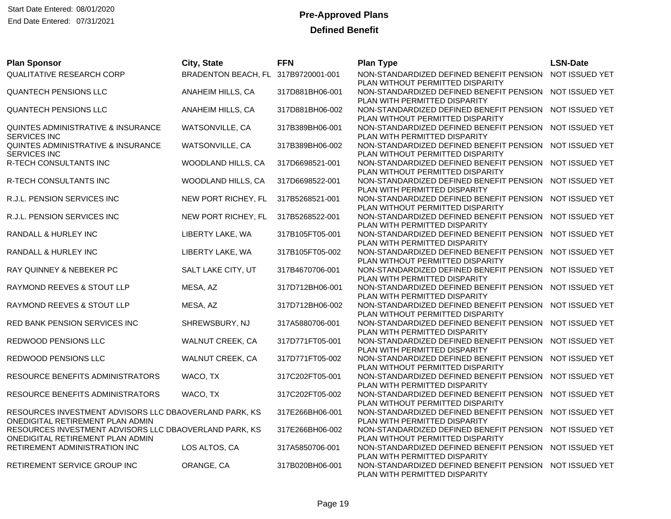Start Date Entered: 08/01/2020 **Pre-Approved Plans** End Date Entered: 07/31/2021

| <b>Plan Sponsor</b>                                                                        | City, State                         | <b>FFN</b>      | <b>Plan Type</b>                                                                                              | <b>LSN-Date</b> |
|--------------------------------------------------------------------------------------------|-------------------------------------|-----------------|---------------------------------------------------------------------------------------------------------------|-----------------|
| QUALITATIVE RESEARCH CORP                                                                  | BRADENTON BEACH, FL 317B9720001-001 |                 | NON-STANDARDIZED DEFINED BENEFIT PENSION<br>PLAN WITHOUT PERMITTED DISPARITY                                  | NOT ISSUED YET  |
| QUANTECH PENSIONS LLC                                                                      | ANAHEIM HILLS, CA                   | 317D881BH06-001 | NON-STANDARDIZED DEFINED BENEFIT PENSION<br>PLAN WITH PERMITTED DISPARITY                                     | NOT ISSUED YET  |
| <b>QUANTECH PENSIONS LLC</b>                                                               | ANAHEIM HILLS, CA                   | 317D881BH06-002 | NON-STANDARDIZED DEFINED BENEFIT PENSION NOT ISSUED YET<br>PLAN WITHOUT PERMITTED DISPARITY                   |                 |
| QUINTES ADMINISTRATIVE & INSURANCE<br><b>SERVICES INC</b>                                  | WATSONVILLE, CA                     | 317B389BH06-001 | NON-STANDARDIZED DEFINED BENEFIT PENSION<br>PLAN WITH PERMITTED DISPARITY                                     | NOT ISSUED YET  |
| QUINTES ADMINISTRATIVE & INSURANCE<br><b>SERVICES INC</b>                                  | WATSONVILLE, CA                     | 317B389BH06-002 | NON-STANDARDIZED DEFINED BENEFIT PENSION<br>PLAN WITHOUT PERMITTED DISPARITY                                  | NOT ISSUED YET  |
| R-TECH CONSULTANTS INC                                                                     | WOODLAND HILLS, CA                  | 317D6698521-001 | NON-STANDARDIZED DEFINED BENEFIT PENSION<br>PLAN WITHOUT PERMITTED DISPARITY                                  | NOT ISSUED YET  |
| R-TECH CONSULTANTS INC                                                                     | WOODLAND HILLS, CA                  | 317D6698522-001 | NON-STANDARDIZED DEFINED BENEFIT PENSION<br>PLAN WITH PERMITTED DISPARITY                                     | NOT ISSUED YET  |
| R.J.L. PENSION SERVICES INC                                                                | NEW PORT RICHEY, FL                 | 317B5268521-001 | NON-STANDARDIZED DEFINED BENEFIT PENSION<br>PLAN WITHOUT PERMITTED DISPARITY                                  | NOT ISSUED YET  |
| R.J.L. PENSION SERVICES INC                                                                | NEW PORT RICHEY, FL                 | 317B5268522-001 | NON-STANDARDIZED DEFINED BENEFIT PENSION<br>PLAN WITH PERMITTED DISPARITY                                     | NOT ISSUED YET  |
| RANDALL & HURLEY INC                                                                       | LIBERTY LAKE, WA                    | 317B105FT05-001 | NON-STANDARDIZED DEFINED BENEFIT PENSION<br>PLAN WITH PERMITTED DISPARITY                                     | NOT ISSUED YET  |
| RANDALL & HURLEY INC                                                                       | LIBERTY LAKE, WA                    | 317B105FT05-002 | NON-STANDARDIZED DEFINED BENEFIT PENSION<br>PLAN WITHOUT PERMITTED DISPARITY                                  | NOT ISSUED YET  |
| RAY QUINNEY & NEBEKER PC                                                                   | SALT LAKE CITY, UT                  | 317B4670706-001 | NON-STANDARDIZED DEFINED BENEFIT PENSION<br>PLAN WITH PERMITTED DISPARITY                                     | NOT ISSUED YET  |
| RAYMOND REEVES & STOUT LLP                                                                 | MESA, AZ                            | 317D712BH06-001 | NON-STANDARDIZED DEFINED BENEFIT PENSION<br>PLAN WITH PERMITTED DISPARITY                                     | NOT ISSUED YET  |
| RAYMOND REEVES & STOUT LLP                                                                 | MESA, AZ                            | 317D712BH06-002 | NON-STANDARDIZED DEFINED BENEFIT PENSION                                                                      | NOT ISSUED YET  |
| RED BANK PENSION SERVICES INC                                                              | SHREWSBURY, NJ                      | 317A5880706-001 | PLAN WITHOUT PERMITTED DISPARITY<br>NON-STANDARDIZED DEFINED BENEFIT PENSION NOT ISSUED YET                   |                 |
| REDWOOD PENSIONS LLC                                                                       | WALNUT CREEK, CA                    | 317D771FT05-001 | PLAN WITH PERMITTED DISPARITY<br>NON-STANDARDIZED DEFINED BENEFIT PENSION                                     | NOT ISSUED YET  |
| <b>REDWOOD PENSIONS LLC</b>                                                                | WALNUT CREEK, CA                    | 317D771FT05-002 | PLAN WITH PERMITTED DISPARITY<br>NON-STANDARDIZED DEFINED BENEFIT PENSION                                     | NOT ISSUED YET  |
| RESOURCE BENEFITS ADMINISTRATORS                                                           | WACO, TX                            | 317C202FT05-001 | PLAN WITHOUT PERMITTED DISPARITY<br>NON-STANDARDIZED DEFINED BENEFIT PENSION                                  | NOT ISSUED YET  |
| RESOURCE BENEFITS ADMINISTRATORS                                                           | WACO, TX                            | 317C202FT05-002 | PLAN WITH PERMITTED DISPARITY<br>NON-STANDARDIZED DEFINED BENEFIT PENSION<br>PLAN WITHOUT PERMITTED DISPARITY | NOT ISSUED YET  |
| RESOURCES INVESTMENT ADVISORS LLC DBAOVERLAND PARK, KS<br>ONEDIGITAL RETIREMENT PLAN ADMIN |                                     | 317E266BH06-001 | NON-STANDARDIZED DEFINED BENEFIT PENSION NOT ISSUED YET<br>PLAN WITH PERMITTED DISPARITY                      |                 |
| RESOURCES INVESTMENT ADVISORS LLC DBAOVERLAND PARK, KS<br>ONEDIGITAL RETIREMENT PLAN ADMIN |                                     | 317E266BH06-002 | NON-STANDARDIZED DEFINED BENEFIT PENSION<br>PLAN WITHOUT PERMITTED DISPARITY                                  | NOT ISSUED YET  |
| RETIREMENT ADMINISTRATION INC                                                              | LOS ALTOS, CA                       | 317A5850706-001 | NON-STANDARDIZED DEFINED BENEFIT PENSION NOT ISSUED YET                                                       |                 |
| RETIREMENT SERVICE GROUP INC                                                               | ORANGE, CA                          | 317B020BH06-001 | PLAN WITH PERMITTED DISPARITY<br>NON-STANDARDIZED DEFINED BENEFIT PENSION<br>PLAN WITH PERMITTED DISPARITY    | NOT ISSUED YET  |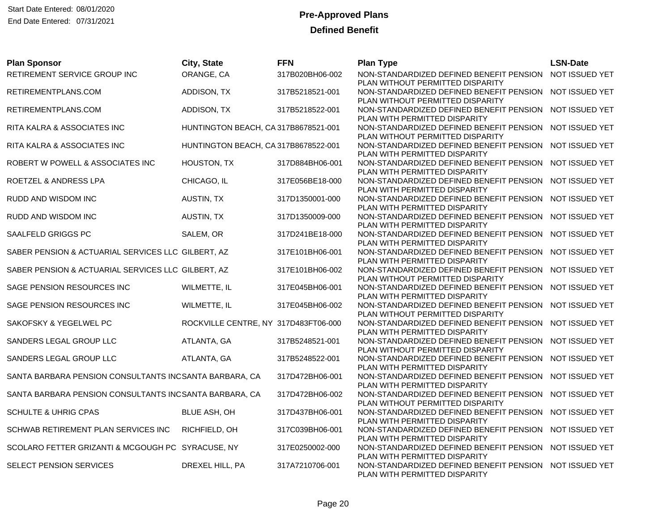| <b>Plan Sponsor</b>                                    | City, State                          | <b>FFN</b>      | <b>Plan Type</b>                                                                                              | <b>LSN-Date</b> |
|--------------------------------------------------------|--------------------------------------|-----------------|---------------------------------------------------------------------------------------------------------------|-----------------|
| RETIREMENT SERVICE GROUP INC                           | ORANGE, CA                           | 317B020BH06-002 | NON-STANDARDIZED DEFINED BENEFIT PENSION<br>PLAN WITHOUT PERMITTED DISPARITY                                  | NOT ISSUED YET  |
| RETIREMENTPLANS.COM                                    | ADDISON, TX                          | 317B5218521-001 | NON-STANDARDIZED DEFINED BENEFIT PENSION<br>PLAN WITHOUT PERMITTED DISPARITY                                  | NOT ISSUED YET  |
| RETIREMENTPLANS.COM                                    | ADDISON, TX                          | 317B5218522-001 | NON-STANDARDIZED DEFINED BENEFIT PENSION<br>PLAN WITH PERMITTED DISPARITY                                     | NOT ISSUED YET  |
| RITA KALRA & ASSOCIATES INC                            | HUNTINGTON BEACH, CA 317B8678521-001 |                 | NON-STANDARDIZED DEFINED BENEFIT PENSION<br>PLAN WITHOUT PERMITTED DISPARITY                                  | NOT ISSUED YET  |
| RITA KALRA & ASSOCIATES INC                            | HUNTINGTON BEACH, CA 317B8678522-001 |                 | NON-STANDARDIZED DEFINED BENEFIT PENSION<br>PLAN WITH PERMITTED DISPARITY                                     | NOT ISSUED YET  |
| ROBERT W POWELL & ASSOCIATES INC                       | HOUSTON, TX                          | 317D884BH06-001 | NON-STANDARDIZED DEFINED BENEFIT PENSION<br>PLAN WITH PERMITTED DISPARITY                                     | NOT ISSUED YET  |
| ROETZEL & ANDRESS LPA                                  | CHICAGO, IL                          | 317E056BE18-000 | NON-STANDARDIZED DEFINED BENEFIT PENSION<br>PLAN WITH PERMITTED DISPARITY                                     | NOT ISSUED YET  |
| RUDD AND WISDOM INC                                    | AUSTIN, TX                           | 317D1350001-000 | NON-STANDARDIZED DEFINED BENEFIT PENSION<br>PLAN WITH PERMITTED DISPARITY                                     | NOT ISSUED YET  |
| RUDD AND WISDOM INC                                    | AUSTIN, TX                           | 317D1350009-000 | NON-STANDARDIZED DEFINED BENEFIT PENSION<br>PLAN WITH PERMITTED DISPARITY                                     | NOT ISSUED YET  |
| SAALFELD GRIGGS PC                                     | SALEM, OR                            | 317D241BE18-000 | NON-STANDARDIZED DEFINED BENEFIT PENSION<br>PLAN WITH PERMITTED DISPARITY                                     | NOT ISSUED YET  |
| SABER PENSION & ACTUARIAL SERVICES LLC GILBERT, AZ     |                                      | 317E101BH06-001 | NON-STANDARDIZED DEFINED BENEFIT PENSION<br>PLAN WITH PERMITTED DISPARITY                                     | NOT ISSUED YET  |
| SABER PENSION & ACTUARIAL SERVICES LLC GILBERT, AZ     |                                      | 317E101BH06-002 | NON-STANDARDIZED DEFINED BENEFIT PENSION<br>PLAN WITHOUT PERMITTED DISPARITY                                  | NOT ISSUED YET  |
| SAGE PENSION RESOURCES INC                             | WILMETTE, IL                         | 317E045BH06-001 | NON-STANDARDIZED DEFINED BENEFIT PENSION<br>PLAN WITH PERMITTED DISPARITY                                     | NOT ISSUED YET  |
| SAGE PENSION RESOURCES INC                             | WILMETTE, IL                         | 317E045BH06-002 | NON-STANDARDIZED DEFINED BENEFIT PENSION<br>PLAN WITHOUT PERMITTED DISPARITY                                  | NOT ISSUED YET  |
| SAKOFSKY & YEGELWEL PC                                 | ROCKVILLE CENTRE, NY 317D483FT06-000 |                 | NON-STANDARDIZED DEFINED BENEFIT PENSION<br>PLAN WITH PERMITTED DISPARITY                                     | NOT ISSUED YET  |
| SANDERS LEGAL GROUP LLC                                | ATLANTA, GA                          | 317B5248521-001 | NON-STANDARDIZED DEFINED BENEFIT PENSION                                                                      | NOT ISSUED YET  |
| SANDERS LEGAL GROUP LLC                                | ATLANTA, GA                          | 317B5248522-001 | PLAN WITHOUT PERMITTED DISPARITY<br>NON-STANDARDIZED DEFINED BENEFIT PENSION<br>PLAN WITH PERMITTED DISPARITY | NOT ISSUED YET  |
| SANTA BARBARA PENSION CONSULTANTS INCSANTA BARBARA, CA |                                      | 317D472BH06-001 | NON-STANDARDIZED DEFINED BENEFIT PENSION<br>PLAN WITH PERMITTED DISPARITY                                     | NOT ISSUED YET  |
| SANTA BARBARA PENSION CONSULTANTS INCSANTA BARBARA, CA |                                      | 317D472BH06-002 | NON-STANDARDIZED DEFINED BENEFIT PENSION<br>PLAN WITHOUT PERMITTED DISPARITY                                  | NOT ISSUED YET  |
| <b>SCHULTE &amp; UHRIG CPAS</b>                        | BLUE ASH, OH                         | 317D437BH06-001 | NON-STANDARDIZED DEFINED BENEFIT PENSION<br>PLAN WITH PERMITTED DISPARITY                                     | NOT ISSUED YET  |
| SCHWAB RETIREMENT PLAN SERVICES INC                    | RICHFIELD, OH                        | 317C039BH06-001 | NON-STANDARDIZED DEFINED BENEFIT PENSION                                                                      | NOT ISSUED YET  |
| SCOLARO FETTER GRIZANTI & MCGOUGH PC SYRACUSE, NY      |                                      | 317E0250002-000 | PLAN WITH PERMITTED DISPARITY<br>NON-STANDARDIZED DEFINED BENEFIT PENSION                                     | NOT ISSUED YET  |
| SELECT PENSION SERVICES                                | DREXEL HILL, PA                      | 317A7210706-001 | PLAN WITH PERMITTED DISPARITY<br>NON-STANDARDIZED DEFINED BENEFIT PENSION<br>PLAN WITH PERMITTED DISPARITY    | NOT ISSUED YET  |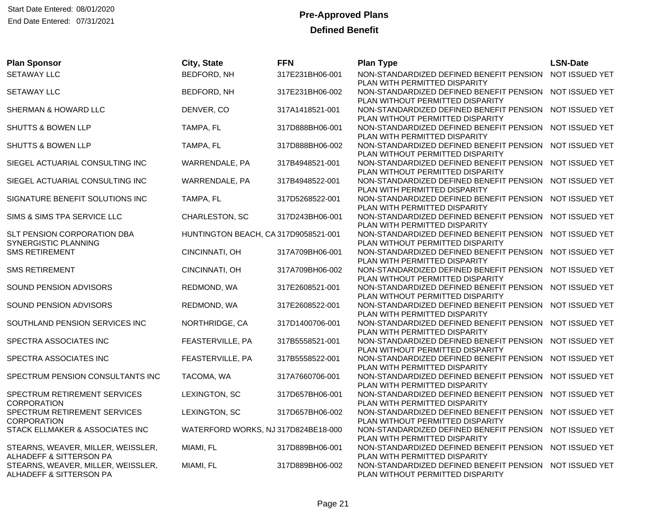| <b>Plan Sponsor</b>                                               | City, State                          | <b>FFN</b>      | <b>Plan Type</b>                                                                            | <b>LSN-Date</b> |
|-------------------------------------------------------------------|--------------------------------------|-----------------|---------------------------------------------------------------------------------------------|-----------------|
| <b>SETAWAY LLC</b>                                                | BEDFORD, NH                          | 317E231BH06-001 | NON-STANDARDIZED DEFINED BENEFIT PENSION<br>PLAN WITH PERMITTED DISPARITY                   | NOT ISSUED YET  |
| <b>SETAWAY LLC</b>                                                | BEDFORD, NH                          | 317E231BH06-002 | NON-STANDARDIZED DEFINED BENEFIT PENSION                                                    | NOT ISSUED YET  |
|                                                                   |                                      |                 | PLAN WITHOUT PERMITTED DISPARITY                                                            |                 |
| SHERMAN & HOWARD LLC                                              | DENVER, CO                           | 317A1418521-001 | NON-STANDARDIZED DEFINED BENEFIT PENSION NOT ISSUED YET<br>PLAN WITHOUT PERMITTED DISPARITY |                 |
| <b>SHUTTS &amp; BOWEN LLP</b>                                     | TAMPA, FL                            | 317D888BH06-001 | NON-STANDARDIZED DEFINED BENEFIT PENSION                                                    | NOT ISSUED YET  |
|                                                                   |                                      |                 | PLAN WITH PERMITTED DISPARITY                                                               | NOT ISSUED YET  |
| SHUTTS & BOWEN LLP                                                | TAMPA, FL                            | 317D888BH06-002 | NON-STANDARDIZED DEFINED BENEFIT PENSION<br>PLAN WITHOUT PERMITTED DISPARITY                |                 |
| SIEGEL ACTUARIAL CONSULTING INC                                   | WARRENDALE, PA                       | 317B4948521-001 | NON-STANDARDIZED DEFINED BENEFIT PENSION                                                    | NOT ISSUED YET  |
| SIEGEL ACTUARIAL CONSULTING INC                                   | WARRENDALE, PA                       | 317B4948522-001 | PLAN WITHOUT PERMITTED DISPARITY<br>NON-STANDARDIZED DEFINED BENEFIT PENSION                | NOT ISSUED YET  |
|                                                                   |                                      |                 | PLAN WITH PERMITTED DISPARITY                                                               |                 |
| SIGNATURE BENEFIT SOLUTIONS INC                                   | TAMPA, FL                            | 317D5268522-001 | NON-STANDARDIZED DEFINED BENEFIT PENSION                                                    | NOT ISSUED YET  |
| SIMS & SIMS TPA SERVICE LLC                                       | CHARLESTON, SC                       | 317D243BH06-001 | PLAN WITH PERMITTED DISPARITY<br>NON-STANDARDIZED DEFINED BENEFIT PENSION                   | NOT ISSUED YET  |
|                                                                   |                                      |                 | PLAN WITH PERMITTED DISPARITY                                                               |                 |
| <b>SLT PENSION CORPORATION DBA</b><br><b>SYNERGISTIC PLANNING</b> | HUNTINGTON BEACH, CA 317D9058521-001 |                 | NON-STANDARDIZED DEFINED BENEFIT PENSION NOT ISSUED YET<br>PLAN WITHOUT PERMITTED DISPARITY |                 |
| <b>SMS RETIREMENT</b>                                             | CINCINNATI, OH                       | 317A709BH06-001 | NON-STANDARDIZED DEFINED BENEFIT PENSION                                                    | NOT ISSUED YET  |
|                                                                   |                                      |                 | PLAN WITH PERMITTED DISPARITY                                                               |                 |
| <b>SMS RETIREMENT</b>                                             | CINCINNATI, OH                       | 317A709BH06-002 | NON-STANDARDIZED DEFINED BENEFIT PENSION<br>PLAN WITHOUT PERMITTED DISPARITY                | NOT ISSUED YET  |
| SOUND PENSION ADVISORS                                            | REDMOND, WA                          | 317E2608521-001 | NON-STANDARDIZED DEFINED BENEFIT PENSION                                                    | NOT ISSUED YET  |
|                                                                   |                                      |                 | PLAN WITHOUT PERMITTED DISPARITY                                                            |                 |
| SOUND PENSION ADVISORS                                            | REDMOND, WA                          | 317E2608522-001 | NON-STANDARDIZED DEFINED BENEFIT PENSION<br>PLAN WITH PERMITTED DISPARITY                   | NOT ISSUED YET  |
| SOUTHLAND PENSION SERVICES INC                                    | NORTHRIDGE, CA                       | 317D1400706-001 | NON-STANDARDIZED DEFINED BENEFIT PENSION                                                    | NOT ISSUED YET  |
|                                                                   |                                      |                 | PLAN WITH PERMITTED DISPARITY                                                               |                 |
| SPECTRA ASSOCIATES INC                                            | FEASTERVILLE, PA                     | 317B5558521-001 | NON-STANDARDIZED DEFINED BENEFIT PENSION<br>PLAN WITHOUT PERMITTED DISPARITY                | NOT ISSUED YET  |
| SPECTRA ASSOCIATES INC                                            | FEASTERVILLE, PA                     | 317B5558522-001 | NON-STANDARDIZED DEFINED BENEFIT PENSION NOT ISSUED YET                                     |                 |
|                                                                   |                                      |                 | PLAN WITH PERMITTED DISPARITY                                                               |                 |
| SPECTRUM PENSION CONSULTANTS INC                                  | TACOMA, WA                           | 317A7660706-001 | NON-STANDARDIZED DEFINED BENEFIT PENSION<br>PLAN WITH PERMITTED DISPARITY                   | NOT ISSUED YET  |
| SPECTRUM RETIREMENT SERVICES                                      | LEXINGTON, SC                        | 317D657BH06-001 | NON-STANDARDIZED DEFINED BENEFIT PENSION                                                    | NOT ISSUED YET  |
| <b>CORPORATION</b><br>SPECTRUM RETIREMENT SERVICES                | LEXINGTON, SC                        | 317D657BH06-002 | PLAN WITH PERMITTED DISPARITY<br>NON-STANDARDIZED DEFINED BENEFIT PENSION                   | NOT ISSUED YET  |
| <b>CORPORATION</b>                                                |                                      |                 | PLAN WITHOUT PERMITTED DISPARITY                                                            |                 |
| STACK ELLMAKER & ASSOCIATES INC                                   | WATERFORD WORKS, NJ 317D824BE18-000  |                 | NON-STANDARDIZED DEFINED BENEFIT PENSION                                                    | NOT ISSUED YET  |
|                                                                   |                                      |                 | PLAN WITH PERMITTED DISPARITY                                                               |                 |
| STEARNS, WEAVER, MILLER, WEISSLER,<br>ALHADEFF & SITTERSON PA     | MIAMI, FL                            | 317D889BH06-001 | NON-STANDARDIZED DEFINED BENEFIT PENSION<br>PLAN WITH PERMITTED DISPARITY                   | NOT ISSUED YET  |
| STEARNS, WEAVER, MILLER, WEISSLER,                                | MIAMI, FL                            | 317D889BH06-002 | NON-STANDARDIZED DEFINED BENEFIT PENSION                                                    | NOT ISSUED YET  |
| ALHADEFF & SITTERSON PA                                           |                                      |                 | PLAN WITHOUT PERMITTED DISPARITY                                                            |                 |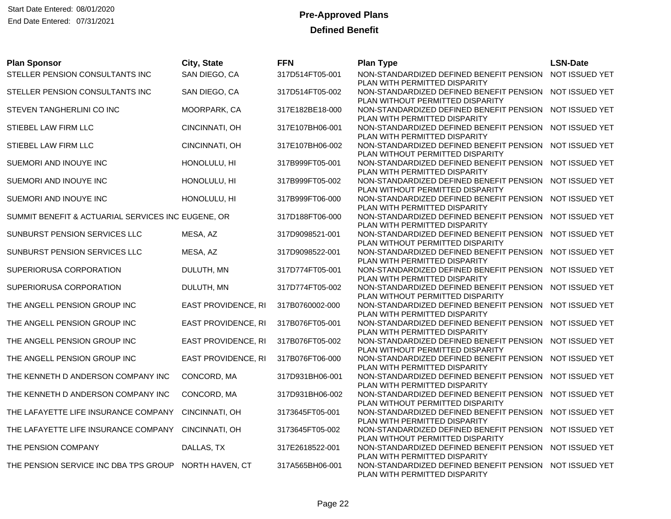| <b>Plan Sponsor</b>                                | City, State                | <b>FFN</b>      | <b>Plan Type</b>                                                                                              | <b>LSN-Date</b> |
|----------------------------------------------------|----------------------------|-----------------|---------------------------------------------------------------------------------------------------------------|-----------------|
| STELLER PENSION CONSULTANTS INC                    | SAN DIEGO, CA              | 317D514FT05-001 | NON-STANDARDIZED DEFINED BENEFIT PENSION<br>PLAN WITH PERMITTED DISPARITY                                     | NOT ISSUED YET  |
| STELLER PENSION CONSULTANTS INC                    | SAN DIEGO, CA              | 317D514FT05-002 | NON-STANDARDIZED DEFINED BENEFIT PENSION<br>PLAN WITHOUT PERMITTED DISPARITY                                  | NOT ISSUED YET  |
| STEVEN TANGHERLINI CO INC                          | MOORPARK, CA               | 317E182BE18-000 | NON-STANDARDIZED DEFINED BENEFIT PENSION NOT ISSUED YET<br>PLAN WITH PERMITTED DISPARITY                      |                 |
| STIEBEL LAW FIRM LLC                               | CINCINNATI, OH             | 317E107BH06-001 | NON-STANDARDIZED DEFINED BENEFIT PENSION<br>PLAN WITH PERMITTED DISPARITY                                     | NOT ISSUED YET  |
| STIEBEL LAW FIRM LLC                               | CINCINNATI, OH             | 317E107BH06-002 | NON-STANDARDIZED DEFINED BENEFIT PENSION<br>PLAN WITHOUT PERMITTED DISPARITY                                  | NOT ISSUED YET  |
| SUEMORI AND INOUYE INC                             | HONOLULU, HI               | 317B999FT05-001 | NON-STANDARDIZED DEFINED BENEFIT PENSION<br>PLAN WITH PERMITTED DISPARITY                                     | NOT ISSUED YET  |
| SUEMORI AND INOUYE INC                             | HONOLULU, HI               | 317B999FT05-002 | NON-STANDARDIZED DEFINED BENEFIT PENSION<br>PLAN WITHOUT PERMITTED DISPARITY                                  | NOT ISSUED YET  |
| SUEMORI AND INOUYE INC                             | HONOLULU, HI               | 317B999FT06-000 | NON-STANDARDIZED DEFINED BENEFIT PENSION<br>PLAN WITH PERMITTED DISPARITY                                     | NOT ISSUED YET  |
| SUMMIT BENEFIT & ACTUARIAL SERVICES INC EUGENE, OR |                            | 317D188FT06-000 | NON-STANDARDIZED DEFINED BENEFIT PENSION<br>PLAN WITH PERMITTED DISPARITY                                     | NOT ISSUED YET  |
| SUNBURST PENSION SERVICES LLC                      | MESA, AZ                   | 317D9098521-001 | NON-STANDARDIZED DEFINED BENEFIT PENSION<br>PLAN WITHOUT PERMITTED DISPARITY                                  | NOT ISSUED YET  |
| SUNBURST PENSION SERVICES LLC                      | MESA, AZ                   | 317D9098522-001 | NON-STANDARDIZED DEFINED BENEFIT PENSION<br>PLAN WITH PERMITTED DISPARITY                                     | NOT ISSUED YET  |
| SUPERIORUSA CORPORATION                            | DULUTH, MN                 | 317D774FT05-001 | NON-STANDARDIZED DEFINED BENEFIT PENSION<br>PLAN WITH PERMITTED DISPARITY                                     | NOT ISSUED YET  |
| SUPERIORUSA CORPORATION                            | DULUTH, MN                 | 317D774FT05-002 | NON-STANDARDIZED DEFINED BENEFIT PENSION<br>PLAN WITHOUT PERMITTED DISPARITY                                  | NOT ISSUED YET  |
| THE ANGELL PENSION GROUP INC                       | EAST PROVIDENCE, RI        | 317B0760002-000 | NON-STANDARDIZED DEFINED BENEFIT PENSION<br>PLAN WITH PERMITTED DISPARITY                                     | NOT ISSUED YET  |
| THE ANGELL PENSION GROUP INC                       | EAST PROVIDENCE, RI        | 317B076FT05-001 | NON-STANDARDIZED DEFINED BENEFIT PENSION                                                                      | NOT ISSUED YET  |
| THE ANGELL PENSION GROUP INC                       | <b>EAST PROVIDENCE, RI</b> | 317B076FT05-002 | PLAN WITH PERMITTED DISPARITY<br>NON-STANDARDIZED DEFINED BENEFIT PENSION                                     | NOT ISSUED YET  |
| THE ANGELL PENSION GROUP INC                       | EAST PROVIDENCE, RI        | 317B076FT06-000 | PLAN WITHOUT PERMITTED DISPARITY<br>NON-STANDARDIZED DEFINED BENEFIT PENSION                                  | NOT ISSUED YET  |
| THE KENNETH D ANDERSON COMPANY INC                 | CONCORD, MA                | 317D931BH06-001 | PLAN WITH PERMITTED DISPARITY<br>NON-STANDARDIZED DEFINED BENEFIT PENSION                                     | NOT ISSUED YET  |
| THE KENNETH D ANDERSON COMPANY INC                 | CONCORD, MA                | 317D931BH06-002 | PLAN WITH PERMITTED DISPARITY<br>NON-STANDARDIZED DEFINED BENEFIT PENSION                                     | NOT ISSUED YET  |
| THE LAFAYETTE LIFE INSURANCE COMPANY               | CINCINNATI, OH             | 3173645FT05-001 | PLAN WITHOUT PERMITTED DISPARITY<br>NON-STANDARDIZED DEFINED BENEFIT PENSION<br>PLAN WITH PERMITTED DISPARITY | NOT ISSUED YET  |
| THE LAFAYETTE LIFE INSURANCE COMPANY               | CINCINNATI, OH             | 3173645FT05-002 | NON-STANDARDIZED DEFINED BENEFIT PENSION                                                                      | NOT ISSUED YET  |
| THE PENSION COMPANY                                | DALLAS, TX                 | 317E2618522-001 | PLAN WITHOUT PERMITTED DISPARITY<br>NON-STANDARDIZED DEFINED BENEFIT PENSION                                  | NOT ISSUED YET  |
| THE PENSION SERVICE INC DBA TPS GROUP              | NORTH HAVEN, CT            | 317A565BH06-001 | PLAN WITH PERMITTED DISPARITY<br>NON-STANDARDIZED DEFINED BENEFIT PENSION<br>PLAN WITH PERMITTED DISPARITY    | NOT ISSUED YET  |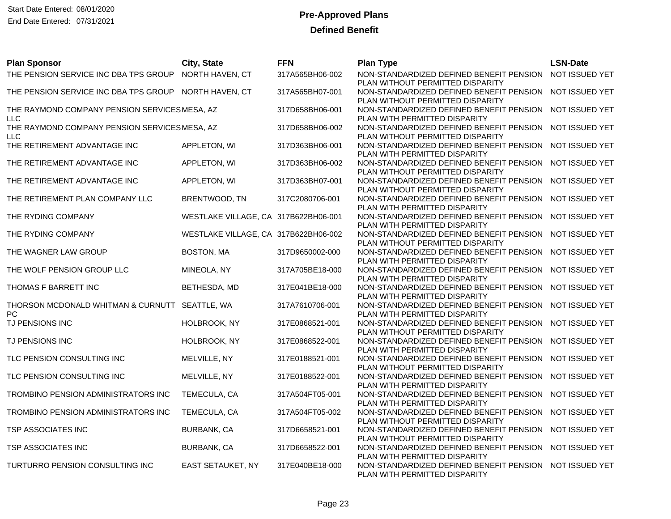| <b>Plan Sponsor</b>                                        | City, State                          | <b>FFN</b>      | <b>Plan Type</b>                                                             | <b>LSN-Date</b> |
|------------------------------------------------------------|--------------------------------------|-----------------|------------------------------------------------------------------------------|-----------------|
| THE PENSION SERVICE INC DBA TPS GROUP                      | NORTH HAVEN, CT                      | 317A565BH06-002 | NON-STANDARDIZED DEFINED BENEFIT PENSION<br>PLAN WITHOUT PERMITTED DISPARITY | NOT ISSUED YET  |
| THE PENSION SERVICE INC DBA TPS GROUP NORTH HAVEN, CT      |                                      | 317A565BH07-001 | NON-STANDARDIZED DEFINED BENEFIT PENSION<br>PLAN WITHOUT PERMITTED DISPARITY | NOT ISSUED YET  |
| THE RAYMOND COMPANY PENSION SERVICESMESA, AZ<br><b>LLC</b> |                                      | 317D658BH06-001 | NON-STANDARDIZED DEFINED BENEFIT PENSION<br>PLAN WITH PERMITTED DISPARITY    | NOT ISSUED YET  |
| THE RAYMOND COMPANY PENSION SERVICESMESA, AZ<br><b>LLC</b> |                                      | 317D658BH06-002 | NON-STANDARDIZED DEFINED BENEFIT PENSION<br>PLAN WITHOUT PERMITTED DISPARITY | NOT ISSUED YET  |
| THE RETIREMENT ADVANTAGE INC                               | APPLETON, WI                         | 317D363BH06-001 | NON-STANDARDIZED DEFINED BENEFIT PENSION<br>PLAN WITH PERMITTED DISPARITY    | NOT ISSUED YET  |
| THE RETIREMENT ADVANTAGE INC                               | APPLETON, WI                         | 317D363BH06-002 | NON-STANDARDIZED DEFINED BENEFIT PENSION<br>PLAN WITHOUT PERMITTED DISPARITY | NOT ISSUED YET  |
| THE RETIREMENT ADVANTAGE INC                               | APPLETON, WI                         | 317D363BH07-001 | NON-STANDARDIZED DEFINED BENEFIT PENSION<br>PLAN WITHOUT PERMITTED DISPARITY | NOT ISSUED YET  |
| THE RETIREMENT PLAN COMPANY LLC                            | BRENTWOOD, TN                        | 317C2080706-001 | NON-STANDARDIZED DEFINED BENEFIT PENSION<br>PLAN WITH PERMITTED DISPARITY    | NOT ISSUED YET  |
| THE RYDING COMPANY                                         | WESTLAKE VILLAGE, CA 317B622BH06-001 |                 | NON-STANDARDIZED DEFINED BENEFIT PENSION<br>PLAN WITH PERMITTED DISPARITY    | NOT ISSUED YET  |
| THE RYDING COMPANY                                         | WESTLAKE VILLAGE, CA 317B622BH06-002 |                 | NON-STANDARDIZED DEFINED BENEFIT PENSION<br>PLAN WITHOUT PERMITTED DISPARITY | NOT ISSUED YET  |
| THE WAGNER LAW GROUP                                       | <b>BOSTON, MA</b>                    | 317D9650002-000 | NON-STANDARDIZED DEFINED BENEFIT PENSION<br>PLAN WITH PERMITTED DISPARITY    | NOT ISSUED YET  |
| THE WOLF PENSION GROUP LLC                                 | MINEOLA, NY                          | 317A705BE18-000 | NON-STANDARDIZED DEFINED BENEFIT PENSION<br>PLAN WITH PERMITTED DISPARITY    | NOT ISSUED YET  |
| THOMAS F BARRETT INC                                       | BETHESDA, MD                         | 317E041BE18-000 | NON-STANDARDIZED DEFINED BENEFIT PENSION<br>PLAN WITH PERMITTED DISPARITY    | NOT ISSUED YET  |
| THORSON MCDONALD WHITMAN & CURNUTT<br>PC                   | SEATTLE, WA                          | 317A7610706-001 | NON-STANDARDIZED DEFINED BENEFIT PENSION<br>PLAN WITH PERMITTED DISPARITY    | NOT ISSUED YET  |
| TJ PENSIONS INC                                            | HOLBROOK, NY                         | 317E0868521-001 | NON-STANDARDIZED DEFINED BENEFIT PENSION<br>PLAN WITHOUT PERMITTED DISPARITY | NOT ISSUED YET  |
| TJ PENSIONS INC                                            | HOLBROOK, NY                         | 317E0868522-001 | NON-STANDARDIZED DEFINED BENEFIT PENSION<br>PLAN WITH PERMITTED DISPARITY    | NOT ISSUED YET  |
| TLC PENSION CONSULTING INC                                 | MELVILLE, NY                         | 317E0188521-001 | NON-STANDARDIZED DEFINED BENEFIT PENSION<br>PLAN WITHOUT PERMITTED DISPARITY | NOT ISSUED YET  |
| TLC PENSION CONSULTING INC                                 | MELVILLE, NY                         | 317E0188522-001 | NON-STANDARDIZED DEFINED BENEFIT PENSION<br>PLAN WITH PERMITTED DISPARITY    | NOT ISSUED YET  |
| TROMBINO PENSION ADMINISTRATORS INC                        | TEMECULA, CA                         | 317A504FT05-001 | NON-STANDARDIZED DEFINED BENEFIT PENSION<br>PLAN WITH PERMITTED DISPARITY    | NOT ISSUED YET  |
| TROMBINO PENSION ADMINISTRATORS INC                        | TEMECULA, CA                         | 317A504FT05-002 | NON-STANDARDIZED DEFINED BENEFIT PENSION<br>PLAN WITHOUT PERMITTED DISPARITY | NOT ISSUED YET  |
| TSP ASSOCIATES INC                                         | <b>BURBANK, CA</b>                   | 317D6658521-001 | NON-STANDARDIZED DEFINED BENEFIT PENSION<br>PLAN WITHOUT PERMITTED DISPARITY | NOT ISSUED YET  |
| <b>TSP ASSOCIATES INC</b>                                  | <b>BURBANK, CA</b>                   | 317D6658522-001 | NON-STANDARDIZED DEFINED BENEFIT PENSION<br>PLAN WITH PERMITTED DISPARITY    | NOT ISSUED YET  |
| TURTURRO PENSION CONSULTING INC                            | EAST SETAUKET, NY                    | 317E040BE18-000 | NON-STANDARDIZED DEFINED BENEFIT PENSION<br>PLAN WITH PERMITTED DISPARITY    | NOT ISSUED YET  |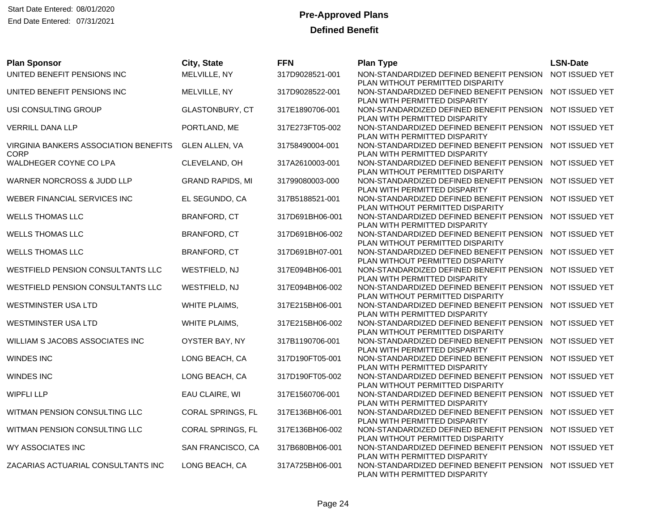| <b>Plan Sponsor</b>                                  | City, State             | <b>FFN</b>      | <b>Plan Type</b>                                                                                              | <b>LSN-Date</b> |
|------------------------------------------------------|-------------------------|-----------------|---------------------------------------------------------------------------------------------------------------|-----------------|
| UNITED BENEFIT PENSIONS INC                          | MELVILLE, NY            | 317D9028521-001 | NON-STANDARDIZED DEFINED BENEFIT PENSION<br>PLAN WITHOUT PERMITTED DISPARITY                                  | NOT ISSUED YET  |
| UNITED BENEFIT PENSIONS INC                          | MELVILLE, NY            | 317D9028522-001 | NON-STANDARDIZED DEFINED BENEFIT PENSION<br>PLAN WITH PERMITTED DISPARITY                                     | NOT ISSUED YET  |
| USI CONSULTING GROUP                                 | GLASTONBURY, CT         | 317E1890706-001 | NON-STANDARDIZED DEFINED BENEFIT PENSION<br>PLAN WITH PERMITTED DISPARITY                                     | NOT ISSUED YET  |
| VERRILL DANA LLP                                     | PORTLAND, ME            | 317E273FT05-002 | NON-STANDARDIZED DEFINED BENEFIT PENSION<br>PLAN WITH PERMITTED DISPARITY                                     | NOT ISSUED YET  |
| VIRGINIA BANKERS ASSOCIATION BENEFITS<br><b>CORP</b> | <b>GLEN ALLEN, VA</b>   | 31758490004-001 | NON-STANDARDIZED DEFINED BENEFIT PENSION<br>PLAN WITH PERMITTED DISPARITY                                     | NOT ISSUED YET  |
| WALDHEGER COYNE CO LPA                               | CLEVELAND, OH           | 317A2610003-001 | NON-STANDARDIZED DEFINED BENEFIT PENSION<br>PLAN WITHOUT PERMITTED DISPARITY                                  | NOT ISSUED YET  |
| WARNER NORCROSS & JUDD LLP                           | <b>GRAND RAPIDS, MI</b> | 31799080003-000 | NON-STANDARDIZED DEFINED BENEFIT PENSION<br>PLAN WITH PERMITTED DISPARITY                                     | NOT ISSUED YET  |
| WEBER FINANCIAL SERVICES INC                         | EL SEGUNDO, CA          | 317B5188521-001 | NON-STANDARDIZED DEFINED BENEFIT PENSION<br>PLAN WITHOUT PERMITTED DISPARITY                                  | NOT ISSUED YET  |
| <b>WELLS THOMAS LLC</b>                              | <b>BRANFORD, CT</b>     | 317D691BH06-001 | NON-STANDARDIZED DEFINED BENEFIT PENSION<br>PLAN WITH PERMITTED DISPARITY                                     | NOT ISSUED YET  |
| <b>WELLS THOMAS LLC</b>                              | BRANFORD, CT            | 317D691BH06-002 | NON-STANDARDIZED DEFINED BENEFIT PENSION<br>PLAN WITHOUT PERMITTED DISPARITY                                  | NOT ISSUED YET  |
| <b>WELLS THOMAS LLC</b>                              | <b>BRANFORD, CT</b>     | 317D691BH07-001 | NON-STANDARDIZED DEFINED BENEFIT PENSION<br>PLAN WITHOUT PERMITTED DISPARITY                                  | NOT ISSUED YET  |
| WESTFIELD PENSION CONSULTANTS LLC                    | WESTFIELD, NJ           | 317E094BH06-001 | NON-STANDARDIZED DEFINED BENEFIT PENSION<br>PLAN WITH PERMITTED DISPARITY                                     | NOT ISSUED YET  |
| WESTFIELD PENSION CONSULTANTS LLC                    | WESTFIELD, NJ           | 317E094BH06-002 | NON-STANDARDIZED DEFINED BENEFIT PENSION<br>PLAN WITHOUT PERMITTED DISPARITY                                  | NOT ISSUED YET  |
| WESTMINSTER USA LTD                                  | WHITE PLAIMS,           | 317E215BH06-001 | NON-STANDARDIZED DEFINED BENEFIT PENSION<br>PLAN WITH PERMITTED DISPARITY                                     | NOT ISSUED YET  |
| WESTMINSTER USA LTD                                  | WHITE PLAIMS,           | 317E215BH06-002 | NON-STANDARDIZED DEFINED BENEFIT PENSION<br>PLAN WITHOUT PERMITTED DISPARITY                                  | NOT ISSUED YET  |
| WILLIAM S JACOBS ASSOCIATES INC                      | OYSTER BAY, NY          | 317B1190706-001 | NON-STANDARDIZED DEFINED BENEFIT PENSION<br>PLAN WITH PERMITTED DISPARITY                                     | NOT ISSUED YET  |
| <b>WINDES INC</b>                                    | LONG BEACH, CA          | 317D190FT05-001 | NON-STANDARDIZED DEFINED BENEFIT PENSION<br>PLAN WITH PERMITTED DISPARITY                                     | NOT ISSUED YET  |
| <b>WINDES INC</b>                                    | LONG BEACH, CA          | 317D190FT05-002 | NON-STANDARDIZED DEFINED BENEFIT PENSION<br>PLAN WITHOUT PERMITTED DISPARITY                                  | NOT ISSUED YET  |
| <b>WIPFLI LLP</b>                                    | EAU CLAIRE, WI          | 317E1560706-001 | NON-STANDARDIZED DEFINED BENEFIT PENSION<br>PLAN WITH PERMITTED DISPARITY                                     | NOT ISSUED YET  |
| WITMAN PENSION CONSULTING LLC                        | CORAL SPRINGS, FL       | 317E136BH06-001 | NON-STANDARDIZED DEFINED BENEFIT PENSION<br>PLAN WITH PERMITTED DISPARITY                                     | NOT ISSUED YET  |
| WITMAN PENSION CONSULTING LLC                        | CORAL SPRINGS, FL       | 317E136BH06-002 | NON-STANDARDIZED DEFINED BENEFIT PENSION                                                                      | NOT ISSUED YET  |
| WY ASSOCIATES INC                                    | SAN FRANCISCO, CA       | 317B680BH06-001 | PLAN WITHOUT PERMITTED DISPARITY<br>NON-STANDARDIZED DEFINED BENEFIT PENSION<br>PLAN WITH PERMITTED DISPARITY | NOT ISSUED YET  |
| ZACARIAS ACTUARIAL CONSULTANTS INC                   | LONG BEACH, CA          | 317A725BH06-001 | NON-STANDARDIZED DEFINED BENEFIT PENSION<br>PLAN WITH PERMITTED DISPARITY                                     | NOT ISSUED YET  |